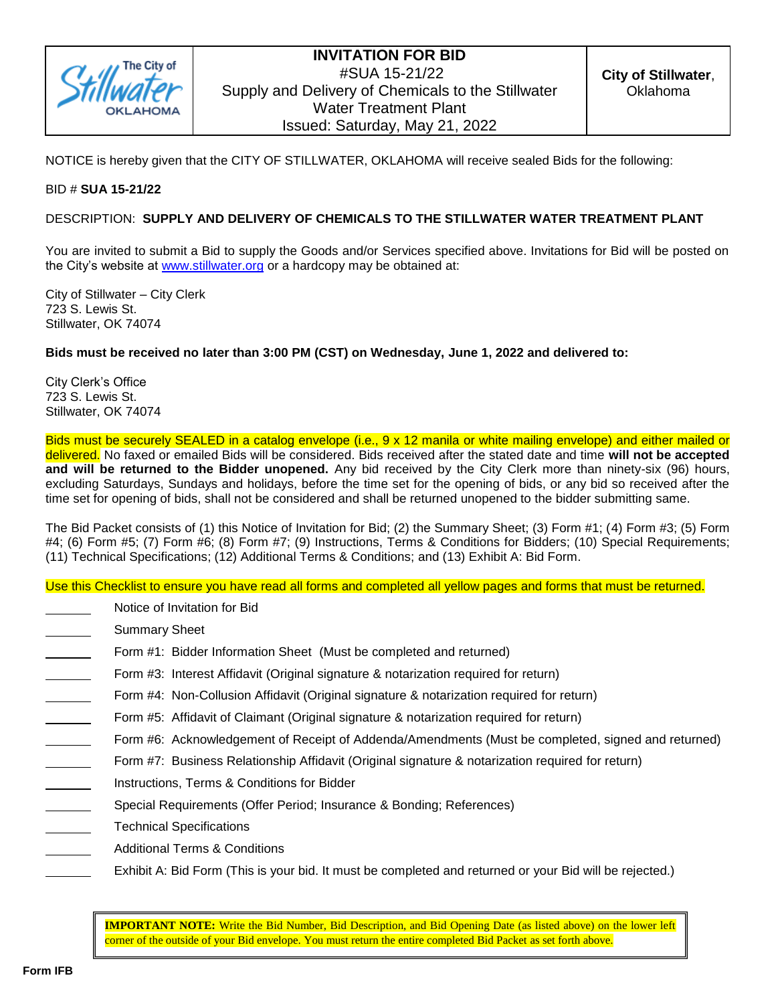

NOTICE is hereby given that the CITY OF STILLWATER, OKLAHOMA will receive sealed Bids for the following:

### BID # **SUA 15-21/22**

### DESCRIPTION: **SUPPLY AND DELIVERY OF CHEMICALS TO THE STILLWATER WATER TREATMENT PLANT**

You are invited to submit a Bid to supply the Goods and/or Services specified above. Invitations for Bid will be posted on the City's website at [www.stillwater.org](http://www.stillwater.org/) or a hardcopy may be obtained at:

City of Stillwater – City Clerk 723 S. Lewis St. Stillwater, OK 74074

### **Bids must be received no later than 3:00 PM (CST) on Wednesday, June 1, 2022 and delivered to:**

City Clerk's Office 723 S. Lewis St. Stillwater, OK 74074

Bids must be securely SEALED in a catalog envelope (i.e., 9 x 12 manila or white mailing envelope) and either mailed or delivered. No faxed or emailed Bids will be considered. Bids received after the stated date and time **will not be accepted and will be returned to the Bidder unopened.** Any bid received by the City Clerk more than ninety-six (96) hours, excluding Saturdays, Sundays and holidays, before the time set for the opening of bids, or any bid so received after the time set for opening of bids, shall not be considered and shall be returned unopened to the bidder submitting same.

The Bid Packet consists of (1) this Notice of Invitation for Bid; (2) the Summary Sheet; (3) Form #1; (4) Form #3; (5) Form #4; (6) Form #5; (7) Form #6; (8) Form #7; (9) Instructions, Terms & Conditions for Bidders; (10) Special Requirements; (11) Technical Specifications; (12) Additional Terms & Conditions; and (13) Exhibit A: Bid Form.

Use this Checklist to ensure you have read all forms and completed all yellow pages and forms that must be returned.

- Notice of Invitation for Bid
- Summary Sheet
- Form #1: Bidder Information Sheet (Must be completed and returned)
- Form #3: Interest Affidavit (Original signature & notarization required for return)
- Form #4: Non-Collusion Affidavit (Original signature & notarization required for return)
- Form #5: Affidavit of Claimant (Original signature & notarization required for return)
- Form #6: Acknowledgement of Receipt of Addenda/Amendments (Must be completed, signed and returned)
- Form #7: Business Relationship Affidavit (Original signature & notarization required for return)
- Instructions, Terms & Conditions for Bidder
- Special Requirements (Offer Period; Insurance & Bonding; References)
- Technical Specifications
- Additional Terms & Conditions
	- Exhibit A: Bid Form (This is your bid. It must be completed and returned or your Bid will be rejected.)

**IMPORTANT NOTE:** Write the Bid Number, Bid Description, and Bid Opening Date (as listed above) on the lower left corner of the outside of your Bid envelope. You must return the entire completed Bid Packet as set forth above.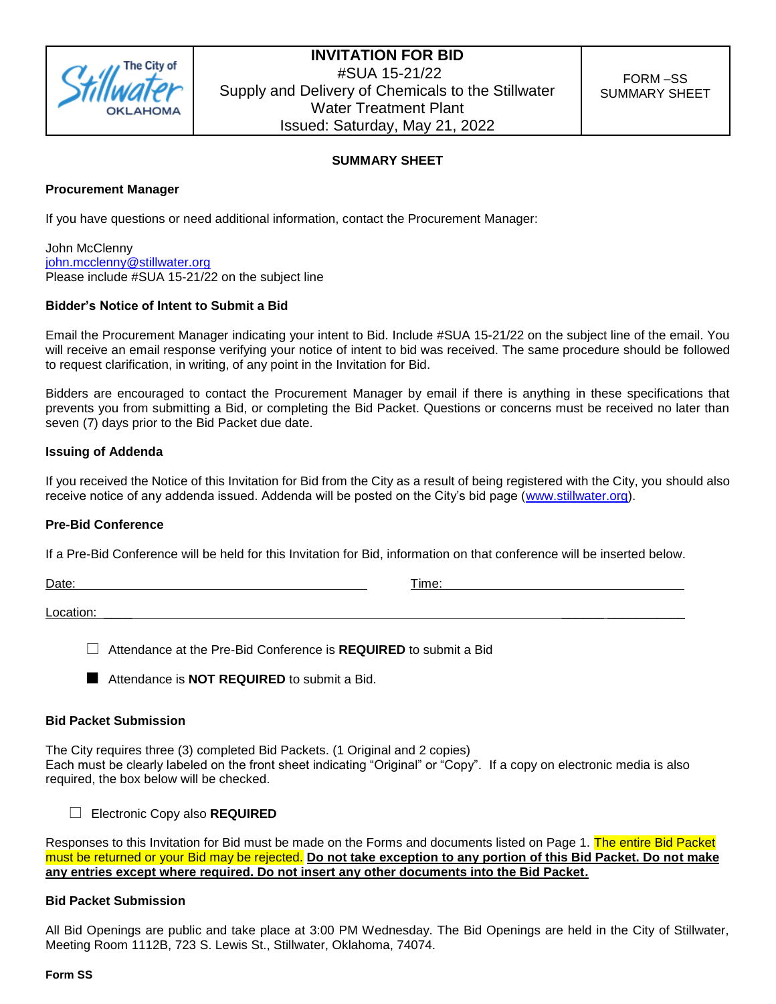

### **SUMMARY SHEET**

### **Procurement Manager**

If you have questions or need additional information, contact the Procurement Manager:

John McClenny [john.mcclenny@stillwater.org](mailto:john.mcclenny@stillwater.org) Please include #SUA 15-21/22 on the subject line

### **Bidder's Notice of Intent to Submit a Bid**

Email the Procurement Manager indicating your intent to Bid. Include #SUA 15-21/22 on the subject line of the email. You will receive an email response verifying your notice of intent to bid was received. The same procedure should be followed to request clarification, in writing, of any point in the Invitation for Bid.

Bidders are encouraged to contact the Procurement Manager by email if there is anything in these specifications that prevents you from submitting a Bid, or completing the Bid Packet. Questions or concerns must be received no later than seven (7) days prior to the Bid Packet due date.

### **Issuing of Addenda**

If you received the Notice of this Invitation for Bid from the City as a result of being registered with the City, you should also receive notice of any addenda issued. Addenda will be posted on the City's bid page [\(www.stillwater.org\)](http://www.stillwater.org/).

### **Pre-Bid Conference**

If a Pre-Bid Conference will be held for this Invitation for Bid, information on that conference will be inserted below.

Date: Time: Time: Time: Time: Time: Time: Time: Time: Time: Time: Time: Time: Time: Time: Time: Time: Time: Time: Time: Time: Time: Time: Time: Time: Time: Time: Time: Time: Time: Time: Time: Time: Time: Time: Time: Time:

Location: \_\_\_\_ \_\_\_\_\_\_ \_\_\_\_\_\_\_\_\_\_\_

Attendance at the Pre-Bid Conference is **REQUIRED** to submit a Bid

**Attendance is NOT REQUIRED** to submit a Bid.

### **Bid Packet Submission**

The City requires three (3) completed Bid Packets. (1 Original and 2 copies) Each must be clearly labeled on the front sheet indicating "Original" or "Copy". If a copy on electronic media is also required, the box below will be checked.

Electronic Copy also **REQUIRED**

Responses to this Invitation for Bid must be made on the Forms and documents listed on Page 1. The entire Bid Packet must be returned or your Bid may be rejected. **Do not take exception to any portion of this Bid Packet. Do not make any entries except where required. Do not insert any other documents into the Bid Packet.**

### **Bid Packet Submission**

All Bid Openings are public and take place at 3:00 PM Wednesday. The Bid Openings are held in the City of Stillwater, Meeting Room 1112B, 723 S. Lewis St., Stillwater, Oklahoma, 74074.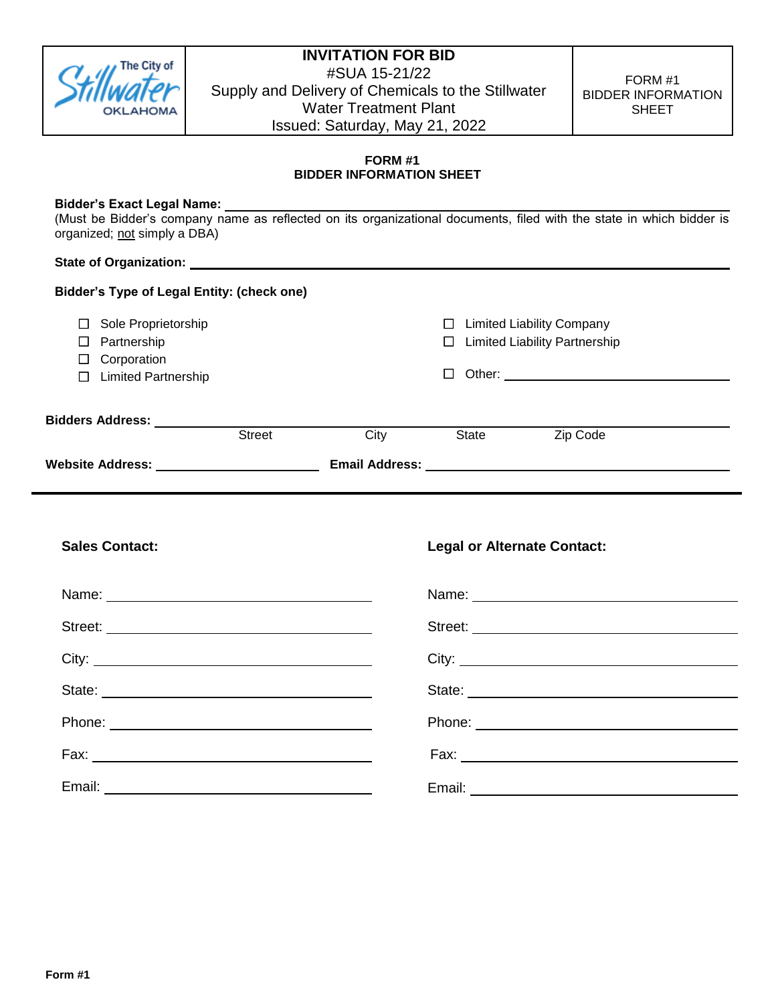

FORM #1 BIDDER INFORMATION SHEET

### **FORM #1 BIDDER INFORMATION SHEET**

### **Bidder's Exact Legal Name:**

(Must be Bidder's company name as reflected on its organizational documents, filed with the state in which bidder is organized; not simply a DBA)

### **State of Organization:**

| <b>Bidder's Type of Legal Entity: (check one)</b> |               |                       |                   |              |                                                                          |  |
|---------------------------------------------------|---------------|-----------------------|-------------------|--------------|--------------------------------------------------------------------------|--|
| Sole Proprietorship<br>Partnership                |               |                       | $\mathsf{L}$<br>П |              | <b>Limited Liability Company</b><br><b>Limited Liability Partnership</b> |  |
| Corporation<br><b>Limited Partnership</b>         |               |                       |                   |              | Other: <u>_____________________</u>                                      |  |
| Bidders Address:                                  | <b>Street</b> | City                  |                   | <b>State</b> | Zip Code                                                                 |  |
| <b>Website Address:</b>                           |               | <b>Email Address:</b> |                   |              |                                                                          |  |

| <b>Sales Contact:</b> | <b>Legal or Alternate Contact:</b> |
|-----------------------|------------------------------------|
|                       |                                    |
|                       | Street:                            |
|                       |                                    |
|                       | State:                             |
|                       |                                    |
|                       |                                    |
|                       |                                    |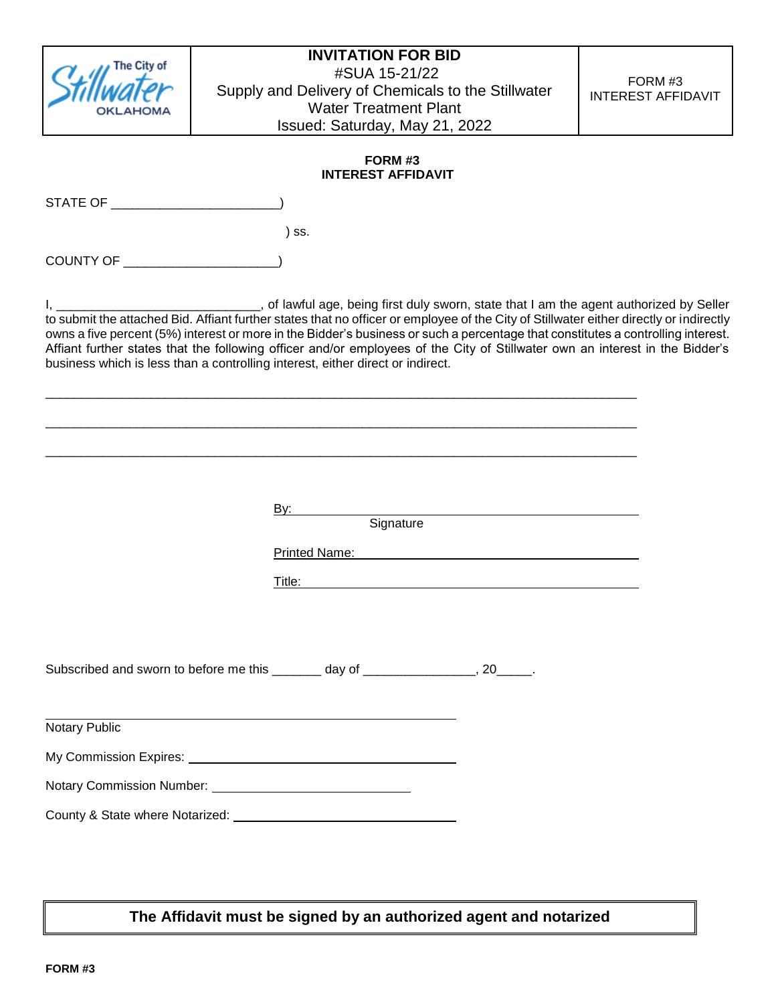| The City of                        | <b>INVITATION FOR BID</b><br>#SUA 15-21/22<br>Supply and Delivery of Chemicals to the Stillwater<br><b>Water Treatment Plant</b><br>Issued: Saturday, May 21, 2022                                                                                                                                                                                                                                                                                                                                                                                                                    | FORM #3<br><b>INTEREST AFFIDAVIT</b> |
|------------------------------------|---------------------------------------------------------------------------------------------------------------------------------------------------------------------------------------------------------------------------------------------------------------------------------------------------------------------------------------------------------------------------------------------------------------------------------------------------------------------------------------------------------------------------------------------------------------------------------------|--------------------------------------|
|                                    | FORM #3<br><b>INTEREST AFFIDAVIT</b>                                                                                                                                                                                                                                                                                                                                                                                                                                                                                                                                                  |                                      |
| STATE OF THE STATE OF THE STATE OF |                                                                                                                                                                                                                                                                                                                                                                                                                                                                                                                                                                                       |                                      |
|                                    | ) SS.                                                                                                                                                                                                                                                                                                                                                                                                                                                                                                                                                                                 |                                      |
| COUNTY OF _____________________    |                                                                                                                                                                                                                                                                                                                                                                                                                                                                                                                                                                                       |                                      |
|                                    | of lawful age, being first duly sworn, state that I am the agent authorized by Seller<br>to submit the attached Bid. Affiant further states that no officer or employee of the City of Stillwater either directly or indirectly<br>owns a five percent (5%) interest or more in the Bidder's business or such a percentage that constitutes a controlling interest.<br>Affiant further states that the following officer and/or employees of the City of Stillwater own an interest in the Bidder's<br>business which is less than a controlling interest, either direct or indirect. |                                      |
|                                    |                                                                                                                                                                                                                                                                                                                                                                                                                                                                                                                                                                                       |                                      |
|                                    | By:<br>Signature                                                                                                                                                                                                                                                                                                                                                                                                                                                                                                                                                                      |                                      |
|                                    | <b>Printed Name:</b>                                                                                                                                                                                                                                                                                                                                                                                                                                                                                                                                                                  |                                      |
|                                    | Title:                                                                                                                                                                                                                                                                                                                                                                                                                                                                                                                                                                                |                                      |
|                                    | Subscribed and sworn to before me this _______ day of ________________, 20_____.                                                                                                                                                                                                                                                                                                                                                                                                                                                                                                      |                                      |
| <b>Notary Public</b>               | <u> 1989 - Johann Stein, marwolaethau (b. 1989)</u>                                                                                                                                                                                                                                                                                                                                                                                                                                                                                                                                   |                                      |
|                                    |                                                                                                                                                                                                                                                                                                                                                                                                                                                                                                                                                                                       |                                      |
|                                    |                                                                                                                                                                                                                                                                                                                                                                                                                                                                                                                                                                                       |                                      |
|                                    |                                                                                                                                                                                                                                                                                                                                                                                                                                                                                                                                                                                       |                                      |
|                                    |                                                                                                                                                                                                                                                                                                                                                                                                                                                                                                                                                                                       |                                      |

**The Affidavit must be signed by an authorized agent and notarized**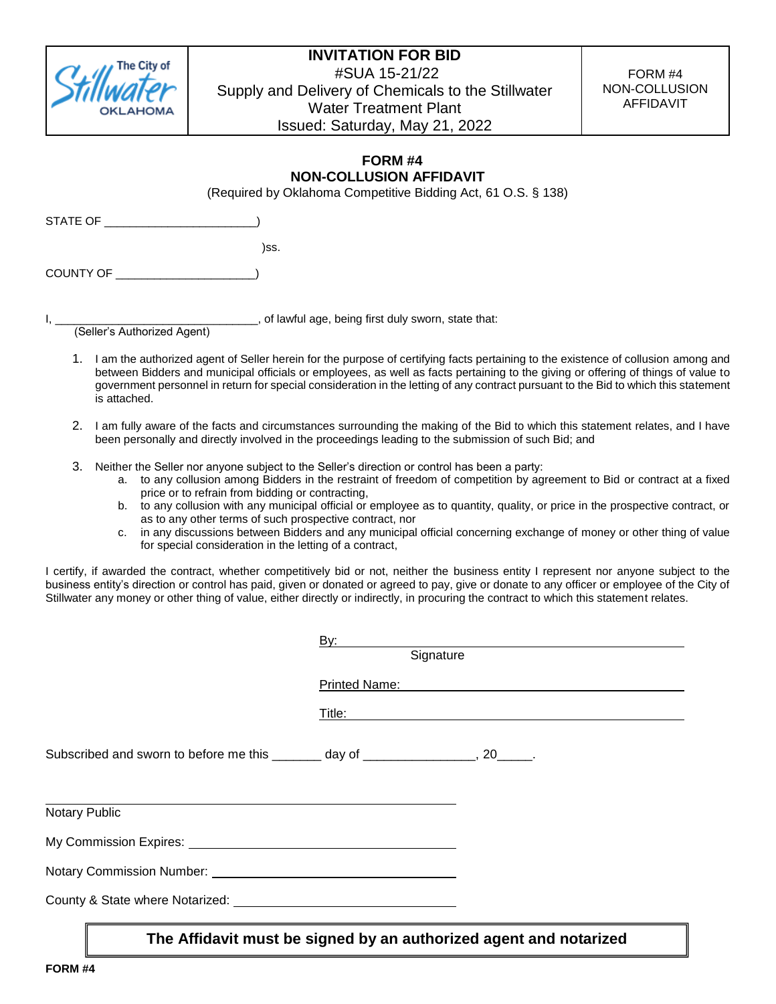

FORM #4 NON-COLLUSION AFFIDAVIT

### **FORM #4 NON-COLLUSION AFFIDAVIT**

(Required by Oklahoma Competitive Bidding Act, 61 O.S. § 138)

STATE OF \_\_\_\_\_\_\_\_\_\_\_\_\_\_\_\_\_\_\_

)ss.

COUNTY OF \_\_\_\_\_\_\_\_\_\_\_\_\_\_\_\_\_\_\_\_\_\_)

I, \_\_\_\_\_\_\_\_\_\_\_\_\_\_\_\_\_\_\_\_\_\_\_\_\_\_\_\_\_\_\_\_, of lawful age, being first duly sworn, state that:

(Seller's Authorized Agent)

- 1. I am the authorized agent of Seller herein for the purpose of certifying facts pertaining to the existence of collusion among and between Bidders and municipal officials or employees, as well as facts pertaining to the giving or offering of things of value to government personnel in return for special consideration in the letting of any contract pursuant to the Bid to which this statement is attached.
- 2. I am fully aware of the facts and circumstances surrounding the making of the Bid to which this statement relates, and I have been personally and directly involved in the proceedings leading to the submission of such Bid; and
- 3. Neither the Seller nor anyone subject to the Seller's direction or control has been a party:
	- a. to any collusion among Bidders in the restraint of freedom of competition by agreement to Bid or contract at a fixed price or to refrain from bidding or contracting,
	- b. to any collusion with any municipal official or employee as to quantity, quality, or price in the prospective contract, or as to any other terms of such prospective contract, nor
	- c. in any discussions between Bidders and any municipal official concerning exchange of money or other thing of value for special consideration in the letting of a contract,

I certify, if awarded the contract, whether competitively bid or not, neither the business entity I represent nor anyone subject to the business entity's direction or control has paid, given or donated or agreed to pay, give or donate to any officer or employee of the City of Stillwater any money or other thing of value, either directly or indirectly, in procuring the contract to which this statement relates.

|                                                                                                      | <u>By:</u> the contract of the contract of the contract of the contract of the contract of the contract of the contract of the contract of the contract of the contract of the contract of the contract of the contract of the cont<br>Signature |
|------------------------------------------------------------------------------------------------------|--------------------------------------------------------------------------------------------------------------------------------------------------------------------------------------------------------------------------------------------------|
|                                                                                                      | Printed <u>Name:</u>                                                                                                                                                                                                                             |
|                                                                                                      |                                                                                                                                                                                                                                                  |
| Subscribed and sworn to before me this _______ day of ________________, 20_____.                     |                                                                                                                                                                                                                                                  |
| Notary Public                                                                                        |                                                                                                                                                                                                                                                  |
| My Commission Expires: No. 1996. The Commission Expires: No. 1997. The Commission Expires: No. 1997. |                                                                                                                                                                                                                                                  |
|                                                                                                      |                                                                                                                                                                                                                                                  |
| County & State where Notarized: National County & State where Notarized:                             |                                                                                                                                                                                                                                                  |
|                                                                                                      |                                                                                                                                                                                                                                                  |

**The Affidavit must be signed by an authorized agent and notarized**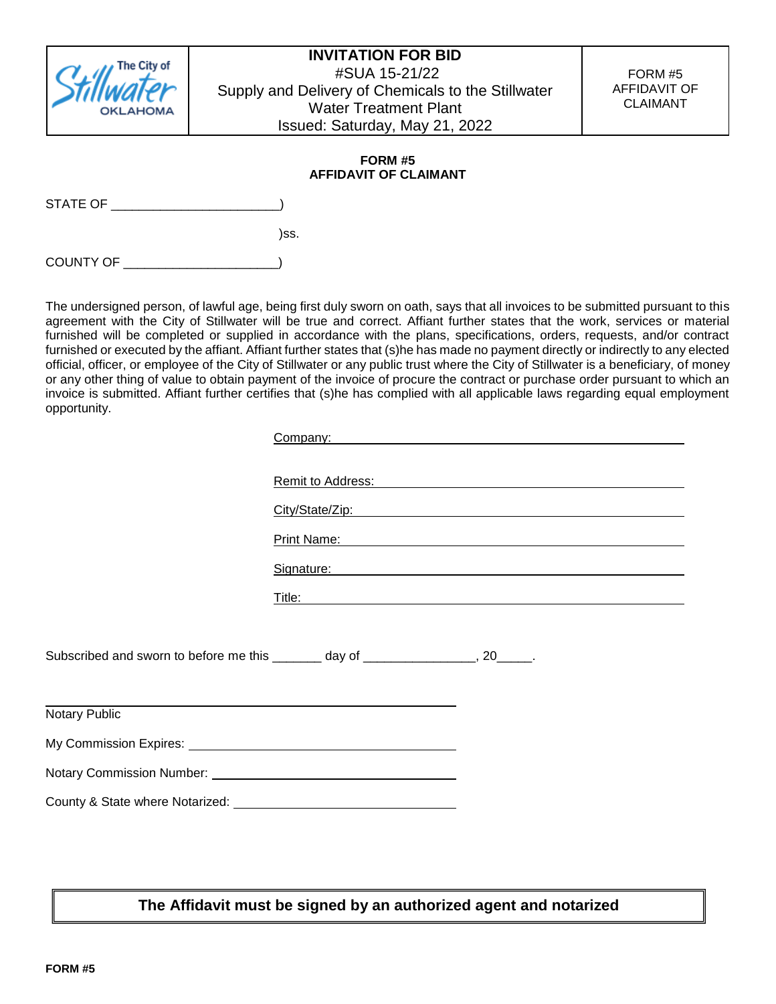

FORM #5 AFFIDAVIT OF CLAIMANT

### **FORM #5 AFFIDAVIT OF CLAIMANT**

STATE OF **EXECUTE OF LIMIT** 

)ss.

COUNTY OF \_\_\_\_\_\_\_\_\_\_

The undersigned person, of lawful age, being first duly sworn on oath, says that all invoices to be submitted pursuant to this agreement with the City of Stillwater will be true and correct. Affiant further states that the work, services or material furnished will be completed or supplied in accordance with the plans, specifications, orders, requests, and/or contract furnished or executed by the affiant. Affiant further states that (s)he has made no payment directly or indirectly to any elected official, officer, or employee of the City of Stillwater or any public trust where the City of Stillwater is a beneficiary, of money or any other thing of value to obtain payment of the invoice of procure the contract or purchase order pursuant to which an invoice is submitted. Affiant further certifies that (s)he has complied with all applicable laws regarding equal employment opportunity.

|                                                                         | Company: company:                                                                                                                                                                                                              |  |  |
|-------------------------------------------------------------------------|--------------------------------------------------------------------------------------------------------------------------------------------------------------------------------------------------------------------------------|--|--|
|                                                                         |                                                                                                                                                                                                                                |  |  |
|                                                                         | Remit to Address: New York Contract and Contract Contract of the Address of The Address of the Address of the A                                                                                                                |  |  |
|                                                                         | City/State/Zip: example and a state of the state of the state of the state of the state of the state of the state of the state of the state of the state of the state of the state of the state of the state of the state of t |  |  |
|                                                                         | Print Name: <b>Print Name: Print Name: Print Name: Print Name: Print Name: Print Name: Print Name: Print Name: Print Name: Print Name: Print Name: Print Name: Print Name: Print Name: Print Name:</b>                         |  |  |
|                                                                         | Signature: Management of the Signature: Management of the Signature: Management of the Signature:                                                                                                                              |  |  |
|                                                                         |                                                                                                                                                                                                                                |  |  |
|                                                                         |                                                                                                                                                                                                                                |  |  |
|                                                                         | Subscribed and sworn to before me this _______ day of ________________, 20_____.                                                                                                                                               |  |  |
| <b>Notary Public</b>                                                    |                                                                                                                                                                                                                                |  |  |
| My Commission Expires: Management Commission System Commission Expires: |                                                                                                                                                                                                                                |  |  |
|                                                                         |                                                                                                                                                                                                                                |  |  |
|                                                                         |                                                                                                                                                                                                                                |  |  |
|                                                                         |                                                                                                                                                                                                                                |  |  |
|                                                                         |                                                                                                                                                                                                                                |  |  |

**The Affidavit must be signed by an authorized agent and notarized**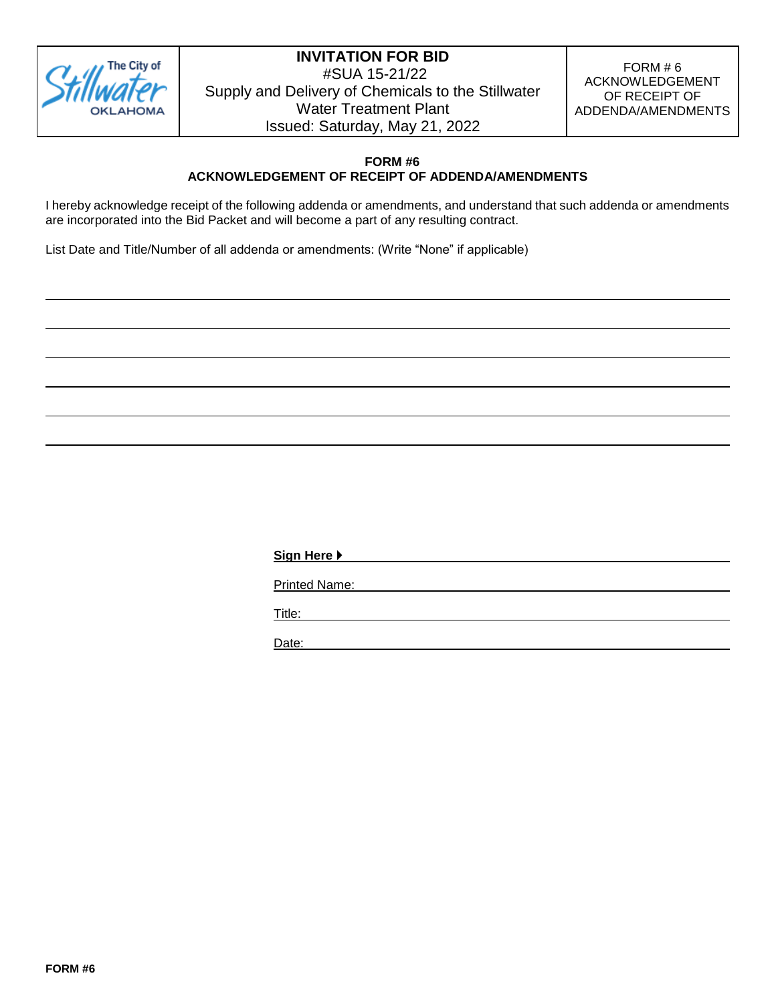

FORM  $# 6$ ACKNOWLEDGEMENT OF RECEIPT OF ADDENDA/AMENDMENTS

### **FORM #6 ACKNOWLEDGEMENT OF RECEIPT OF ADDENDA/AMENDMENTS**

I hereby acknowledge receipt of the following addenda or amendments, and understand that such addenda or amendments are incorporated into the Bid Packet and will become a part of any resulting contract.

List Date and Title/Number of all addenda or amendments: (Write "None" if applicable)

**Sign Here**  Printed Name: Title: Date: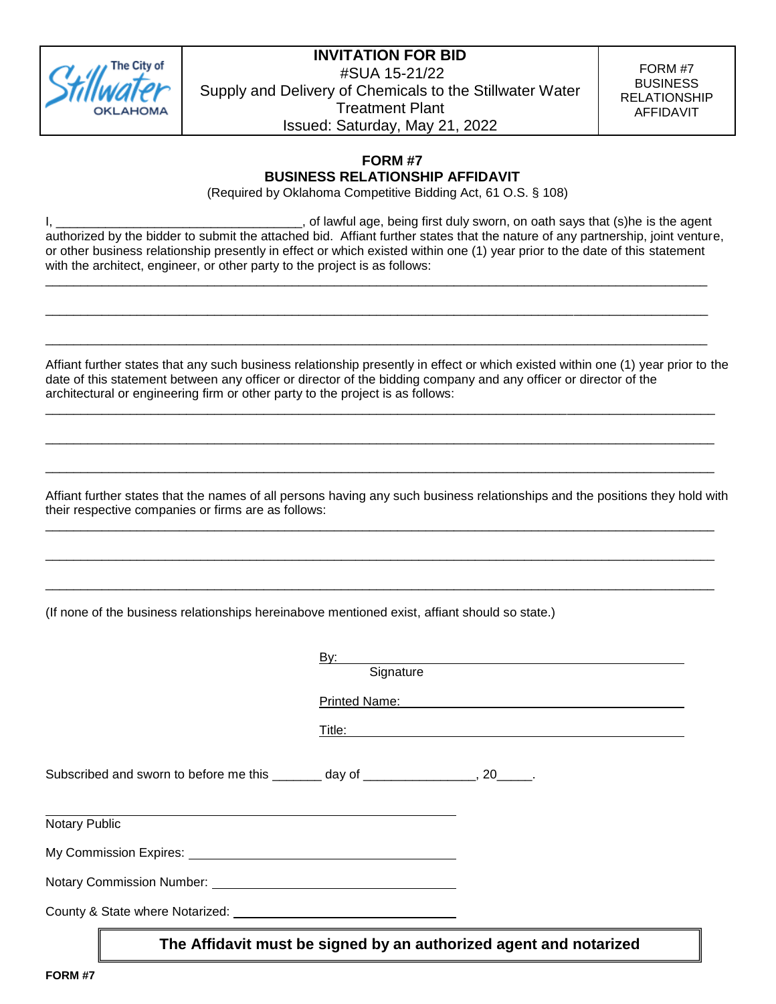

FORM #7 BUSINESS RELATIONSHIP AFFIDAVIT

### **FORM #7 BUSINESS RELATIONSHIP AFFIDAVIT**

(Required by Oklahoma Competitive Bidding Act, 61 O.S. § 108)

I, \_\_\_\_\_\_\_\_\_\_\_\_\_\_\_\_\_\_\_\_\_\_\_\_\_\_\_\_\_\_\_\_\_\_\_, of lawful age, being first duly sworn, on oath says that (s)he is the agent authorized by the bidder to submit the attached bid. Affiant further states that the nature of any partnership, joint venture, or other business relationship presently in effect or which existed within one (1) year prior to the date of this statement with the architect, engineer, or other party to the project is as follows:

\_\_\_\_\_\_\_\_\_\_\_\_\_\_\_\_\_\_\_\_\_\_\_\_\_\_\_\_\_\_\_\_\_\_\_\_\_\_\_\_\_\_\_\_\_\_\_\_\_\_\_\_\_\_\_\_\_\_\_\_\_\_\_\_\_\_\_\_\_\_\_\_\_\_\_\_\_\_\_\_\_\_\_\_\_\_\_\_\_\_\_\_\_\_

\_\_\_\_\_\_\_\_\_\_\_\_\_\_\_\_\_\_\_\_\_\_\_\_\_\_\_\_\_\_\_\_\_\_\_\_\_\_\_\_\_\_\_\_\_\_\_\_\_\_\_\_\_\_\_\_\_\_\_\_\_\_\_\_\_\_\_\_\_\_\_\_\_\_\_\_\_\_\_\_\_\_\_\_\_\_\_\_\_\_\_\_\_\_

\_\_\_\_\_\_\_\_\_\_\_\_\_\_\_\_\_\_\_\_\_\_\_\_\_\_\_\_\_\_\_\_\_\_\_\_\_\_\_\_\_\_\_\_\_\_\_\_\_\_\_\_\_\_\_\_\_\_\_\_\_\_\_\_\_\_\_\_\_\_\_\_\_\_\_\_\_\_\_\_\_\_\_\_\_\_\_\_\_\_\_\_\_\_

Affiant further states that any such business relationship presently in effect or which existed within one (1) year prior to the date of this statement between any officer or director of the bidding company and any officer or director of the architectural or engineering firm or other party to the project is as follows:

\_\_\_\_\_\_\_\_\_\_\_\_\_\_\_\_\_\_\_\_\_\_\_\_\_\_\_\_\_\_\_\_\_\_\_\_\_\_\_\_\_\_\_\_\_\_\_\_\_\_\_\_\_\_\_\_\_\_\_\_\_\_\_\_\_\_\_\_\_\_\_\_\_\_\_\_\_\_\_\_\_\_\_\_\_\_\_\_\_\_\_\_\_\_\_

\_\_\_\_\_\_\_\_\_\_\_\_\_\_\_\_\_\_\_\_\_\_\_\_\_\_\_\_\_\_\_\_\_\_\_\_\_\_\_\_\_\_\_\_\_\_\_\_\_\_\_\_\_\_\_\_\_\_\_\_\_\_\_\_\_\_\_\_\_\_\_\_\_\_\_\_\_\_\_\_\_\_\_\_\_\_\_\_\_\_\_\_\_\_\_

\_\_\_\_\_\_\_\_\_\_\_\_\_\_\_\_\_\_\_\_\_\_\_\_\_\_\_\_\_\_\_\_\_\_\_\_\_\_\_\_\_\_\_\_\_\_\_\_\_\_\_\_\_\_\_\_\_\_\_\_\_\_\_\_\_\_\_\_\_\_\_\_\_\_\_\_\_\_\_\_\_\_\_\_\_\_\_\_\_\_\_\_\_\_\_

\_\_\_\_\_\_\_\_\_\_\_\_\_\_\_\_\_\_\_\_\_\_\_\_\_\_\_\_\_\_\_\_\_\_\_\_\_\_\_\_\_\_\_\_\_\_\_\_\_\_\_\_\_\_\_\_\_\_\_\_\_\_\_\_\_\_\_\_\_\_\_\_\_\_\_\_\_\_\_\_\_\_\_\_\_\_\_\_\_\_\_\_\_\_\_

\_\_\_\_\_\_\_\_\_\_\_\_\_\_\_\_\_\_\_\_\_\_\_\_\_\_\_\_\_\_\_\_\_\_\_\_\_\_\_\_\_\_\_\_\_\_\_\_\_\_\_\_\_\_\_\_\_\_\_\_\_\_\_\_\_\_\_\_\_\_\_\_\_\_\_\_\_\_\_\_\_\_\_\_\_\_\_\_\_\_\_\_\_\_\_

\_\_\_\_\_\_\_\_\_\_\_\_\_\_\_\_\_\_\_\_\_\_\_\_\_\_\_\_\_\_\_\_\_\_\_\_\_\_\_\_\_\_\_\_\_\_\_\_\_\_\_\_\_\_\_\_\_\_\_\_\_\_\_\_\_\_\_\_\_\_\_\_\_\_\_\_\_\_\_\_\_\_\_\_\_\_\_\_\_\_\_\_\_\_\_

Affiant further states that the names of all persons having any such business relationships and the positions they hold with their respective companies or firms are as follows:

(If none of the business relationships hereinabove mentioned exist, affiant should so state.)

|                                                                                                                                                                                                                                | <u>By:</u><br>Signature                                                          |
|--------------------------------------------------------------------------------------------------------------------------------------------------------------------------------------------------------------------------------|----------------------------------------------------------------------------------|
|                                                                                                                                                                                                                                | <b>Printed Name:</b>                                                             |
|                                                                                                                                                                                                                                | Title: _________                                                                 |
|                                                                                                                                                                                                                                | Subscribed and sworn to before me this _______ day of ________________, 20_____. |
| Notary Public                                                                                                                                                                                                                  |                                                                                  |
| My Commission Expires: Management Commission Expires:                                                                                                                                                                          |                                                                                  |
| Notary Commission Number: University of the University of the University of the University of the University of the University of the University of the University of the University of the University of the University of th |                                                                                  |
|                                                                                                                                                                                                                                |                                                                                  |
|                                                                                                                                                                                                                                | The Affidavit must be signed by an authorized agent and notarized                |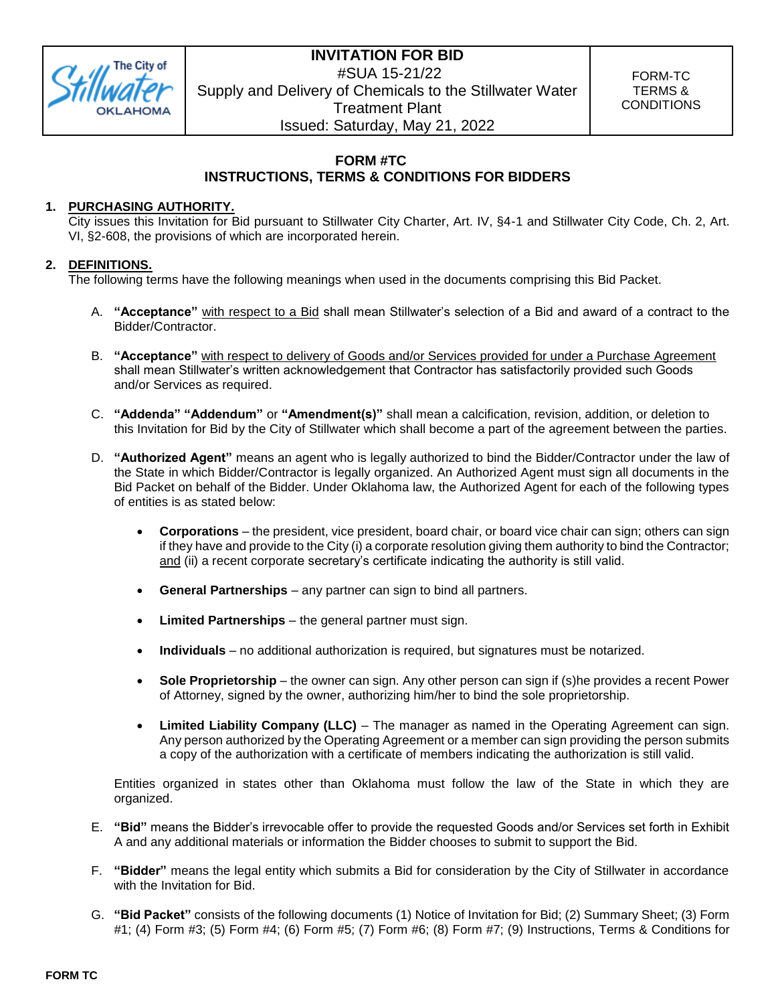

FORM-TC TERMS & **CONDITIONS** 

### **FORM #TC INSTRUCTIONS, TERMS & CONDITIONS FOR BIDDERS**

### **1. PURCHASING AUTHORITY.**

City issues this Invitation for Bid pursuant to Stillwater City Charter, Art. IV, §4-1 and Stillwater City Code, Ch. 2, Art. VI, §2-608, the provisions of which are incorporated herein.

### **2. DEFINITIONS.**

The following terms have the following meanings when used in the documents comprising this Bid Packet.

- A. **"Acceptance"** with respect to a Bid shall mean Stillwater's selection of a Bid and award of a contract to the Bidder/Contractor.
- B. **"Acceptance"** with respect to delivery of Goods and/or Services provided for under a Purchase Agreement shall mean Stillwater's written acknowledgement that Contractor has satisfactorily provided such Goods and/or Services as required.
- C. **"Addenda" "Addendum"** or **"Amendment(s)"** shall mean a calcification, revision, addition, or deletion to this Invitation for Bid by the City of Stillwater which shall become a part of the agreement between the parties.
- D. **"Authorized Agent"** means an agent who is legally authorized to bind the Bidder/Contractor under the law of the State in which Bidder/Contractor is legally organized. An Authorized Agent must sign all documents in the Bid Packet on behalf of the Bidder. Under Oklahoma law, the Authorized Agent for each of the following types of entities is as stated below:
	- **Corporations**  the president, vice president, board chair, or board vice chair can sign; others can sign if they have and provide to the City (i) a corporate resolution giving them authority to bind the Contractor; and (ii) a recent corporate secretary's certificate indicating the authority is still valid.
	- **General Partnerships**  any partner can sign to bind all partners.
	- **Limited Partnerships**  the general partner must sign.
	- **Individuals**  no additional authorization is required, but signatures must be notarized.
	- **Sole Proprietorship** the owner can sign. Any other person can sign if (s)he provides a recent Power of Attorney, signed by the owner, authorizing him/her to bind the sole proprietorship.
	- **Limited Liability Company (LLC)**  The manager as named in the Operating Agreement can sign. Any person authorized by the Operating Agreement or a member can sign providing the person submits a copy of the authorization with a certificate of members indicating the authorization is still valid.

Entities organized in states other than Oklahoma must follow the law of the State in which they are organized.

- E. **"Bid"** means the Bidder's irrevocable offer to provide the requested Goods and/or Services set forth in Exhibit A and any additional materials or information the Bidder chooses to submit to support the Bid.
- F. **"Bidder"** means the legal entity which submits a Bid for consideration by the City of Stillwater in accordance with the Invitation for Bid.
- G. **"Bid Packet"** consists of the following documents (1) Notice of Invitation for Bid; (2) Summary Sheet; (3) Form #1; (4) Form #3; (5) Form #4; (6) Form #5; (7) Form #6; (8) Form #7; (9) Instructions, Terms & Conditions for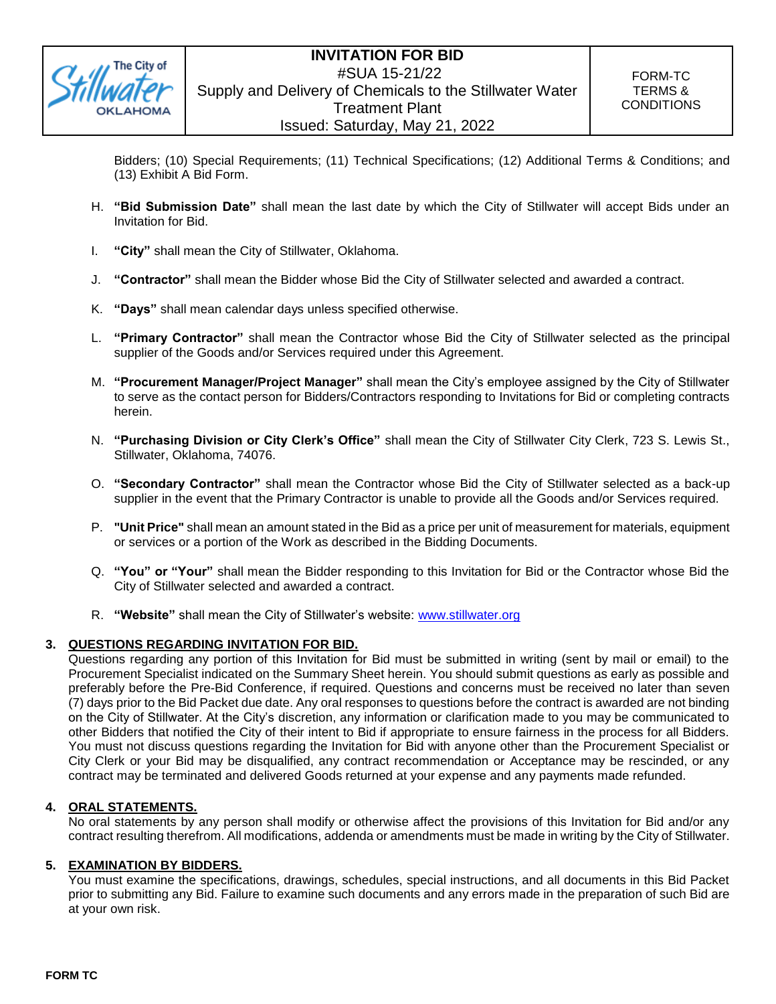

Bidders; (10) Special Requirements; (11) Technical Specifications; (12) Additional Terms & Conditions; and (13) Exhibit A Bid Form.

- H. **"Bid Submission Date"** shall mean the last date by which the City of Stillwater will accept Bids under an Invitation for Bid.
- I. **"City"** shall mean the City of Stillwater, Oklahoma.
- J. **"Contractor"** shall mean the Bidder whose Bid the City of Stillwater selected and awarded a contract.
- K. **"Days"** shall mean calendar days unless specified otherwise.
- L. **"Primary Contractor"** shall mean the Contractor whose Bid the City of Stillwater selected as the principal supplier of the Goods and/or Services required under this Agreement.
- M. **"Procurement Manager/Project Manager"** shall mean the City's employee assigned by the City of Stillwater to serve as the contact person for Bidders/Contractors responding to Invitations for Bid or completing contracts herein.
- N. **"Purchasing Division or City Clerk's Office"** shall mean the City of Stillwater City Clerk, 723 S. Lewis St., Stillwater, Oklahoma, 74076.
- O. **"Secondary Contractor"** shall mean the Contractor whose Bid the City of Stillwater selected as a back-up supplier in the event that the Primary Contractor is unable to provide all the Goods and/or Services required.
- P. **"Unit Price"** shall mean an amount stated in the Bid as a price per unit of measurement for materials, equipment or services or a portion of the Work as described in the Bidding Documents.
- Q. **"You" or "Your"** shall mean the Bidder responding to this Invitation for Bid or the Contractor whose Bid the City of Stillwater selected and awarded a contract.
- R. **"Website"** shall mean the City of Stillwater's website: [www.stillwater.org](http://www.stillwater.org/)

### **3. QUESTIONS REGARDING INVITATION FOR BID.**

Questions regarding any portion of this Invitation for Bid must be submitted in writing (sent by mail or email) to the Procurement Specialist indicated on the Summary Sheet herein. You should submit questions as early as possible and preferably before the Pre-Bid Conference, if required. Questions and concerns must be received no later than seven (7) days prior to the Bid Packet due date. Any oral responses to questions before the contract is awarded are not binding on the City of Stillwater. At the City's discretion, any information or clarification made to you may be communicated to other Bidders that notified the City of their intent to Bid if appropriate to ensure fairness in the process for all Bidders. You must not discuss questions regarding the Invitation for Bid with anyone other than the Procurement Specialist or City Clerk or your Bid may be disqualified, any contract recommendation or Acceptance may be rescinded, or any contract may be terminated and delivered Goods returned at your expense and any payments made refunded.

### **4. ORAL STATEMENTS.**

No oral statements by any person shall modify or otherwise affect the provisions of this Invitation for Bid and/or any contract resulting therefrom. All modifications, addenda or amendments must be made in writing by the City of Stillwater.

### **5. EXAMINATION BY BIDDERS.**

You must examine the specifications, drawings, schedules, special instructions, and all documents in this Bid Packet prior to submitting any Bid. Failure to examine such documents and any errors made in the preparation of such Bid are at your own risk.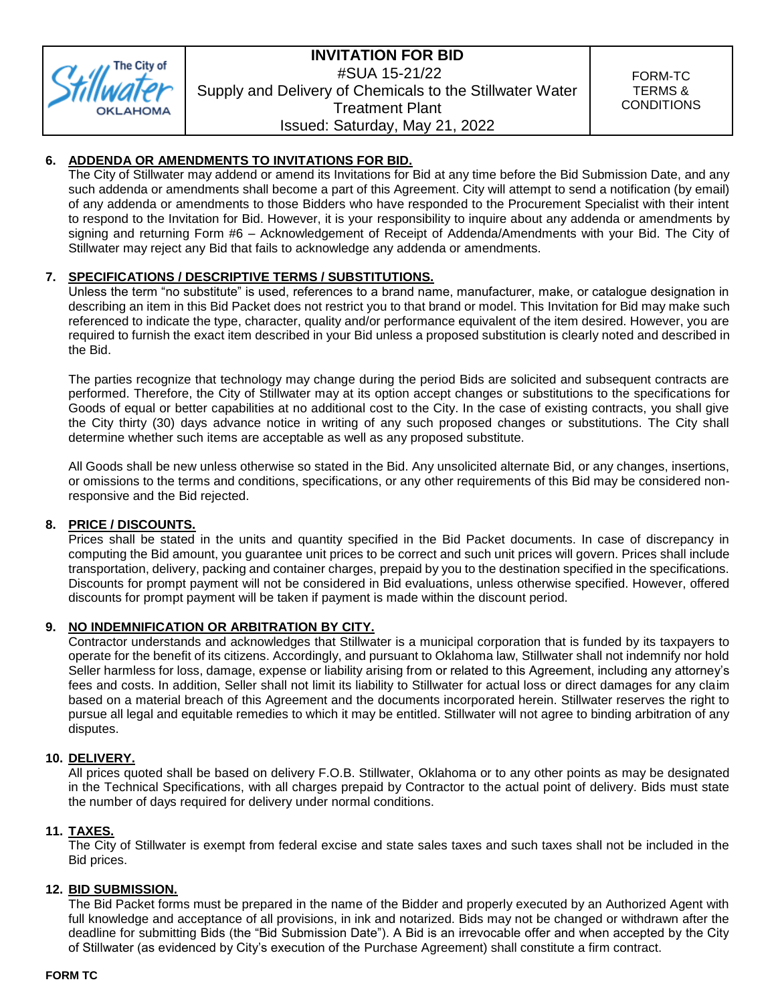

FORM-TC TERMS & **CONDITIONS** 

### **6. ADDENDA OR AMENDMENTS TO INVITATIONS FOR BID.**

The City of Stillwater may addend or amend its Invitations for Bid at any time before the Bid Submission Date, and any such addenda or amendments shall become a part of this Agreement. City will attempt to send a notification (by email) of any addenda or amendments to those Bidders who have responded to the Procurement Specialist with their intent to respond to the Invitation for Bid. However, it is your responsibility to inquire about any addenda or amendments by signing and returning Form #6 – Acknowledgement of Receipt of Addenda/Amendments with your Bid. The City of Stillwater may reject any Bid that fails to acknowledge any addenda or amendments.

### **7. SPECIFICATIONS / DESCRIPTIVE TERMS / SUBSTITUTIONS.**

Unless the term "no substitute" is used, references to a brand name, manufacturer, make, or catalogue designation in describing an item in this Bid Packet does not restrict you to that brand or model. This Invitation for Bid may make such referenced to indicate the type, character, quality and/or performance equivalent of the item desired. However, you are required to furnish the exact item described in your Bid unless a proposed substitution is clearly noted and described in the Bid.

The parties recognize that technology may change during the period Bids are solicited and subsequent contracts are performed. Therefore, the City of Stillwater may at its option accept changes or substitutions to the specifications for Goods of equal or better capabilities at no additional cost to the City. In the case of existing contracts, you shall give the City thirty (30) days advance notice in writing of any such proposed changes or substitutions. The City shall determine whether such items are acceptable as well as any proposed substitute.

All Goods shall be new unless otherwise so stated in the Bid. Any unsolicited alternate Bid, or any changes, insertions, or omissions to the terms and conditions, specifications, or any other requirements of this Bid may be considered nonresponsive and the Bid rejected.

### **8. PRICE / DISCOUNTS.**

Prices shall be stated in the units and quantity specified in the Bid Packet documents. In case of discrepancy in computing the Bid amount, you guarantee unit prices to be correct and such unit prices will govern. Prices shall include transportation, delivery, packing and container charges, prepaid by you to the destination specified in the specifications. Discounts for prompt payment will not be considered in Bid evaluations, unless otherwise specified. However, offered discounts for prompt payment will be taken if payment is made within the discount period.

### **9. NO INDEMNIFICATION OR ARBITRATION BY CITY.**

Contractor understands and acknowledges that Stillwater is a municipal corporation that is funded by its taxpayers to operate for the benefit of its citizens. Accordingly, and pursuant to Oklahoma law, Stillwater shall not indemnify nor hold Seller harmless for loss, damage, expense or liability arising from or related to this Agreement, including any attorney's fees and costs. In addition, Seller shall not limit its liability to Stillwater for actual loss or direct damages for any claim based on a material breach of this Agreement and the documents incorporated herein. Stillwater reserves the right to pursue all legal and equitable remedies to which it may be entitled. Stillwater will not agree to binding arbitration of any disputes.

### **10. DELIVERY.**

All prices quoted shall be based on delivery F.O.B. Stillwater, Oklahoma or to any other points as may be designated in the Technical Specifications, with all charges prepaid by Contractor to the actual point of delivery. Bids must state the number of days required for delivery under normal conditions.

### **11. TAXES.**

The City of Stillwater is exempt from federal excise and state sales taxes and such taxes shall not be included in the Bid prices.

### **12. BID SUBMISSION.**

The Bid Packet forms must be prepared in the name of the Bidder and properly executed by an Authorized Agent with full knowledge and acceptance of all provisions, in ink and notarized. Bids may not be changed or withdrawn after the deadline for submitting Bids (the "Bid Submission Date"). A Bid is an irrevocable offer and when accepted by the City of Stillwater (as evidenced by City's execution of the Purchase Agreement) shall constitute a firm contract.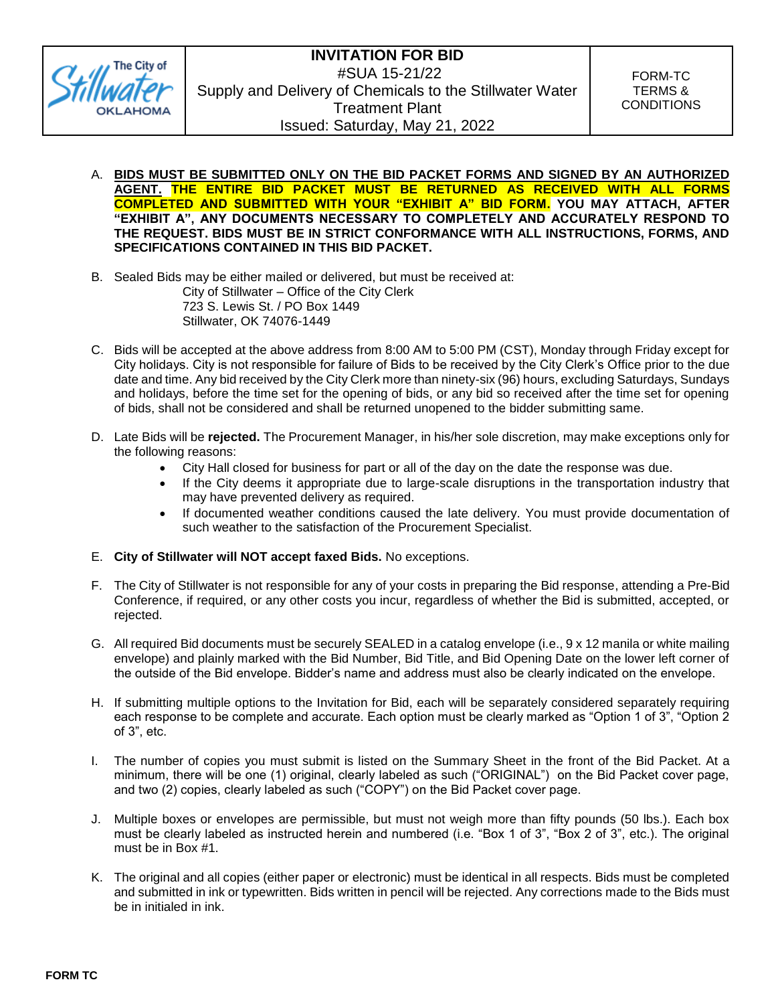

FORM-TC TERMS & **CONDITIONS** 

- A. **BIDS MUST BE SUBMITTED ONLY ON THE BID PACKET FORMS AND SIGNED BY AN AUTHORIZED AGENT. THE ENTIRE BID PACKET MUST BE RETURNED AS RECEIVED WITH ALL FORMS COMPLETED AND SUBMITTED WITH YOUR "EXHIBIT A" BID FORM. YOU MAY ATTACH, AFTER "EXHIBIT A", ANY DOCUMENTS NECESSARY TO COMPLETELY AND ACCURATELY RESPOND TO THE REQUEST. BIDS MUST BE IN STRICT CONFORMANCE WITH ALL INSTRUCTIONS, FORMS, AND SPECIFICATIONS CONTAINED IN THIS BID PACKET.**
- B. Sealed Bids may be either mailed or delivered, but must be received at: City of Stillwater – Office of the City Clerk 723 S. Lewis St. / PO Box 1449 Stillwater, OK 74076-1449
- C. Bids will be accepted at the above address from 8:00 AM to 5:00 PM (CST), Monday through Friday except for City holidays. City is not responsible for failure of Bids to be received by the City Clerk's Office prior to the due date and time. Any bid received by the City Clerk more than ninety-six (96) hours, excluding Saturdays, Sundays and holidays, before the time set for the opening of bids, or any bid so received after the time set for opening of bids, shall not be considered and shall be returned unopened to the bidder submitting same.
- D. Late Bids will be **rejected.** The Procurement Manager, in his/her sole discretion, may make exceptions only for the following reasons:
	- City Hall closed for business for part or all of the day on the date the response was due.
	- If the City deems it appropriate due to large-scale disruptions in the transportation industry that may have prevented delivery as required.
	- If documented weather conditions caused the late delivery. You must provide documentation of such weather to the satisfaction of the Procurement Specialist.
- E. **City of Stillwater will NOT accept faxed Bids.** No exceptions.
- F. The City of Stillwater is not responsible for any of your costs in preparing the Bid response, attending a Pre-Bid Conference, if required, or any other costs you incur, regardless of whether the Bid is submitted, accepted, or rejected.
- G. All required Bid documents must be securely SEALED in a catalog envelope (i.e., 9 x 12 manila or white mailing envelope) and plainly marked with the Bid Number, Bid Title, and Bid Opening Date on the lower left corner of the outside of the Bid envelope. Bidder's name and address must also be clearly indicated on the envelope.
- H. If submitting multiple options to the Invitation for Bid, each will be separately considered separately requiring each response to be complete and accurate. Each option must be clearly marked as "Option 1 of 3", "Option 2 of 3", etc.
- I. The number of copies you must submit is listed on the Summary Sheet in the front of the Bid Packet. At a minimum, there will be one (1) original, clearly labeled as such ("ORIGINAL") on the Bid Packet cover page, and two (2) copies, clearly labeled as such ("COPY") on the Bid Packet cover page.
- J. Multiple boxes or envelopes are permissible, but must not weigh more than fifty pounds (50 lbs.). Each box must be clearly labeled as instructed herein and numbered (i.e. "Box 1 of 3", "Box 2 of 3", etc.). The original must be in Box #1.
- K. The original and all copies (either paper or electronic) must be identical in all respects. Bids must be completed and submitted in ink or typewritten. Bids written in pencil will be rejected. Any corrections made to the Bids must be in initialed in ink.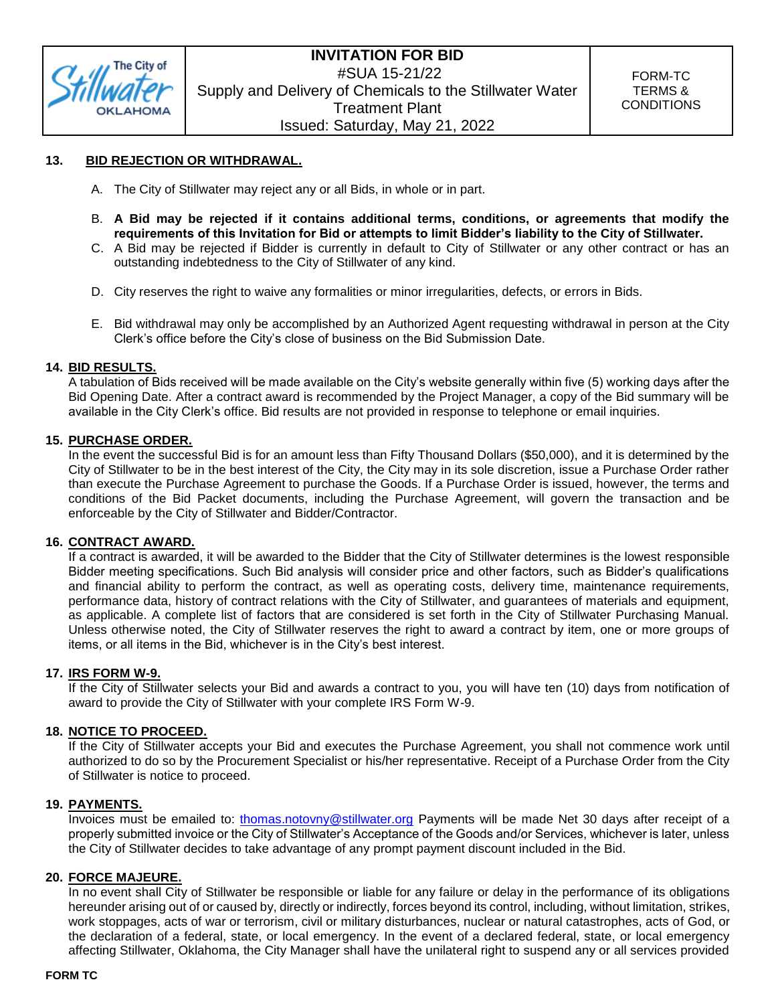

### **13. BID REJECTION OR WITHDRAWAL.**

- A. The City of Stillwater may reject any or all Bids, in whole or in part.
- B. **A Bid may be rejected if it contains additional terms, conditions, or agreements that modify the requirements of this Invitation for Bid or attempts to limit Bidder's liability to the City of Stillwater.**
- C. A Bid may be rejected if Bidder is currently in default to City of Stillwater or any other contract or has an outstanding indebtedness to the City of Stillwater of any kind.
- D. City reserves the right to waive any formalities or minor irregularities, defects, or errors in Bids.
- E. Bid withdrawal may only be accomplished by an Authorized Agent requesting withdrawal in person at the City Clerk's office before the City's close of business on the Bid Submission Date.

### **14. BID RESULTS.**

A tabulation of Bids received will be made available on the City's website generally within five (5) working days after the Bid Opening Date. After a contract award is recommended by the Project Manager, a copy of the Bid summary will be available in the City Clerk's office. Bid results are not provided in response to telephone or email inquiries.

### **15. PURCHASE ORDER.**

In the event the successful Bid is for an amount less than Fifty Thousand Dollars (\$50,000), and it is determined by the City of Stillwater to be in the best interest of the City, the City may in its sole discretion, issue a Purchase Order rather than execute the Purchase Agreement to purchase the Goods. If a Purchase Order is issued, however, the terms and conditions of the Bid Packet documents, including the Purchase Agreement, will govern the transaction and be enforceable by the City of Stillwater and Bidder/Contractor.

#### **16. CONTRACT AWARD.**

If a contract is awarded, it will be awarded to the Bidder that the City of Stillwater determines is the lowest responsible Bidder meeting specifications. Such Bid analysis will consider price and other factors, such as Bidder's qualifications and financial ability to perform the contract, as well as operating costs, delivery time, maintenance requirements, performance data, history of contract relations with the City of Stillwater, and guarantees of materials and equipment, as applicable. A complete list of factors that are considered is set forth in the City of Stillwater Purchasing Manual. Unless otherwise noted, the City of Stillwater reserves the right to award a contract by item, one or more groups of items, or all items in the Bid, whichever is in the City's best interest.

### **17. IRS FORM W-9.**

If the City of Stillwater selects your Bid and awards a contract to you, you will have ten (10) days from notification of award to provide the City of Stillwater with your complete IRS Form W-9.

### **18. NOTICE TO PROCEED.**

If the City of Stillwater accepts your Bid and executes the Purchase Agreement, you shall not commence work until authorized to do so by the Procurement Specialist or his/her representative. Receipt of a Purchase Order from the City of Stillwater is notice to proceed.

#### **19. PAYMENTS.**

Invoices must be emailed to: [thomas.notovny@stillwater.org](mailto:thomas.notovny@stillwater.org) Payments will be made Net 30 days after receipt of a properly submitted invoice or the City of Stillwater's Acceptance of the Goods and/or Services, whichever is later, unless the City of Stillwater decides to take advantage of any prompt payment discount included in the Bid.

#### **20. FORCE MAJEURE.**

[In no](https://www.lawinsider.com/clause/force-majeure) event shall City of Stillwater be responsible or liable for any failure or delay in the performance of its obligations hereunder arising out of or caused by, directly or indirectly, forces beyond its control, including, without limitation, strikes, work stoppages, acts of war or terrorism, civil or military disturbances, nuclear or natural catastrophes, acts of God, or the declaration of a federal, state, or local emergency. In the event of a declared federal, state, or local emergency affecting Stillwater, Oklahoma, the City Manager shall have the unilateral right to suspend any or all services provided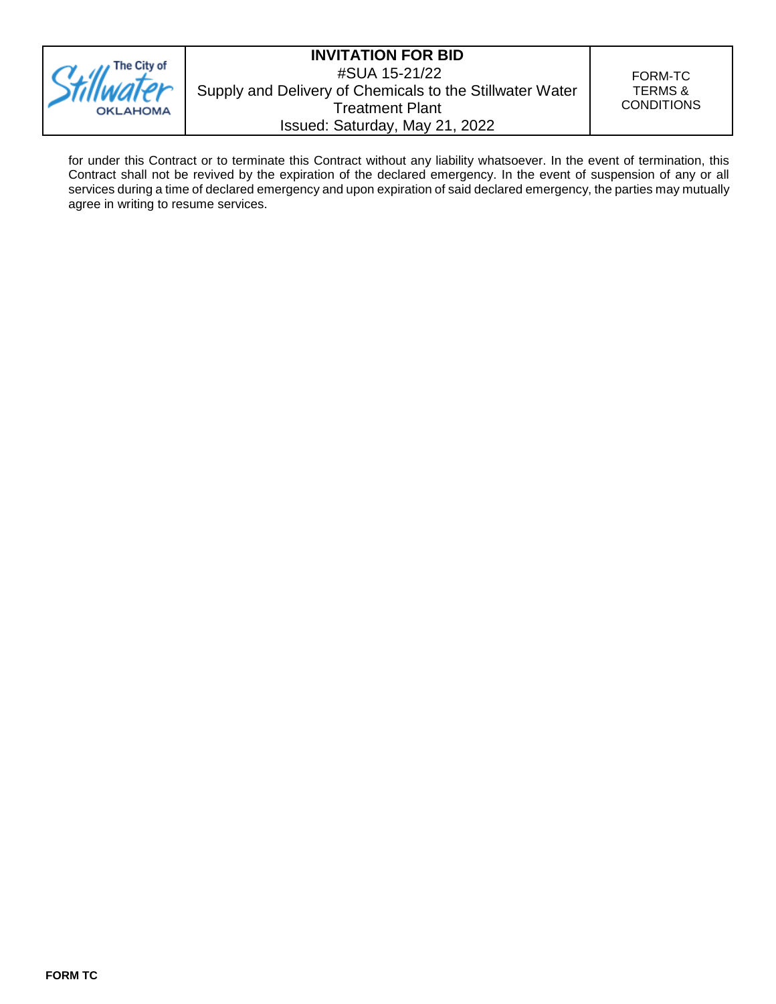

FORM-TC TERMS & **CONDITIONS** 

for under this Contract or to terminate this Contract without any liability whatsoever. In the event of termination, this Contract shall not be revived by the expiration of the declared emergency. In the event of suspension of any or all services during a time of declared emergency and upon expiration of said declared emergency, the parties may mutually agree in writing to resume services.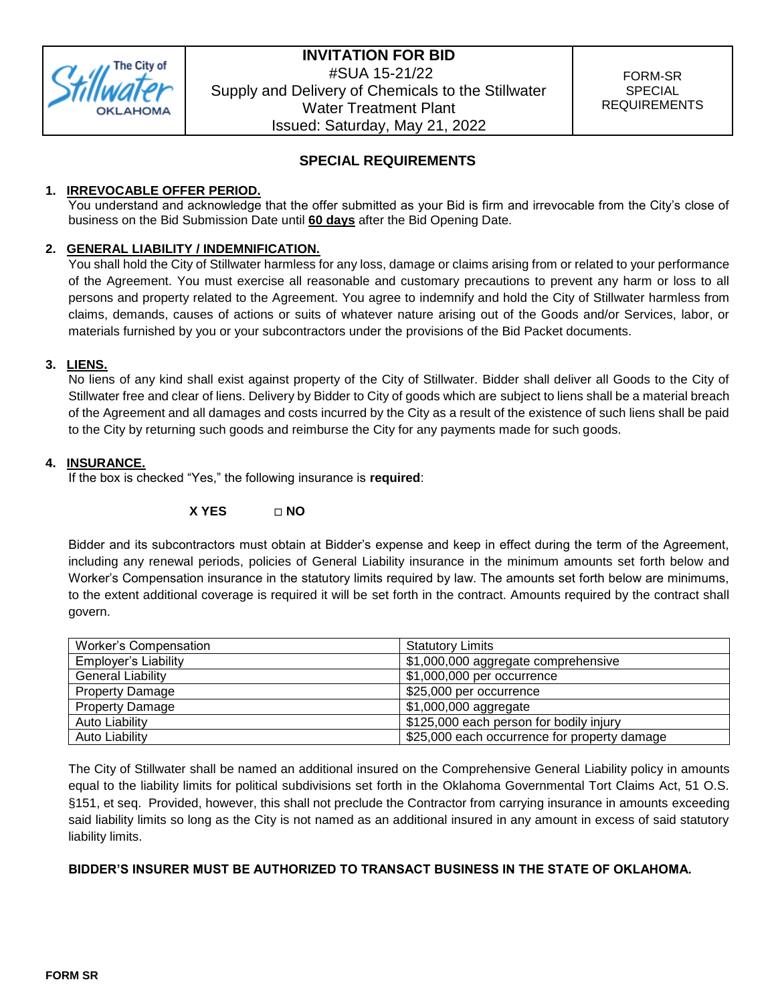

### **SPECIAL REQUIREMENTS**

### **1. IRREVOCABLE OFFER PERIOD.**

You understand and acknowledge that the offer submitted as your Bid is firm and irrevocable from the City's close of business on the Bid Submission Date until **60 days** after the Bid Opening Date.

### **2. GENERAL LIABILITY / INDEMNIFICATION.**

You shall hold the City of Stillwater harmless for any loss, damage or claims arising from or related to your performance of the Agreement. You must exercise all reasonable and customary precautions to prevent any harm or loss to all persons and property related to the Agreement. You agree to indemnify and hold the City of Stillwater harmless from claims, demands, causes of actions or suits of whatever nature arising out of the Goods and/or Services, labor, or materials furnished by you or your subcontractors under the provisions of the Bid Packet documents.

### **3. LIENS.**

No liens of any kind shall exist against property of the City of Stillwater. Bidder shall deliver all Goods to the City of Stillwater free and clear of liens. Delivery by Bidder to City of goods which are subject to liens shall be a material breach of the Agreement and all damages and costs incurred by the City as a result of the existence of such liens shall be paid to the City by returning such goods and reimburse the City for any payments made for such goods.

### **4. INSURANCE.**

If the box is checked "Yes," the following insurance is **required**:

### **X YES NO**

Bidder and its subcontractors must obtain at Bidder's expense and keep in effect during the term of the Agreement, including any renewal periods, policies of General Liability insurance in the minimum amounts set forth below and Worker's Compensation insurance in the statutory limits required by law. The amounts set forth below are minimums, to the extent additional coverage is required it will be set forth in the contract. Amounts required by the contract shall govern.

| Worker's Compensation       | <b>Statutory Limits</b>                      |
|-----------------------------|----------------------------------------------|
| <b>Employer's Liability</b> | \$1,000,000 aggregate comprehensive          |
| <b>General Liability</b>    | \$1,000,000 per occurrence                   |
| <b>Property Damage</b>      | \$25,000 per occurrence                      |
| <b>Property Damage</b>      | \$1,000,000 aggregate                        |
| <b>Auto Liability</b>       | \$125,000 each person for bodily injury      |
| <b>Auto Liability</b>       | \$25,000 each occurrence for property damage |

The City of Stillwater shall be named an additional insured on the Comprehensive General Liability policy in amounts equal to the liability limits for political subdivisions set forth in the Oklahoma Governmental Tort Claims Act, 51 O.S. §151, et seq. Provided, however, this shall not preclude the Contractor from carrying insurance in amounts exceeding said liability limits so long as the City is not named as an additional insured in any amount in excess of said statutory liability limits.

### **BIDDER'S INSURER MUST BE AUTHORIZED TO TRANSACT BUSINESS IN THE STATE OF OKLAHOMA.**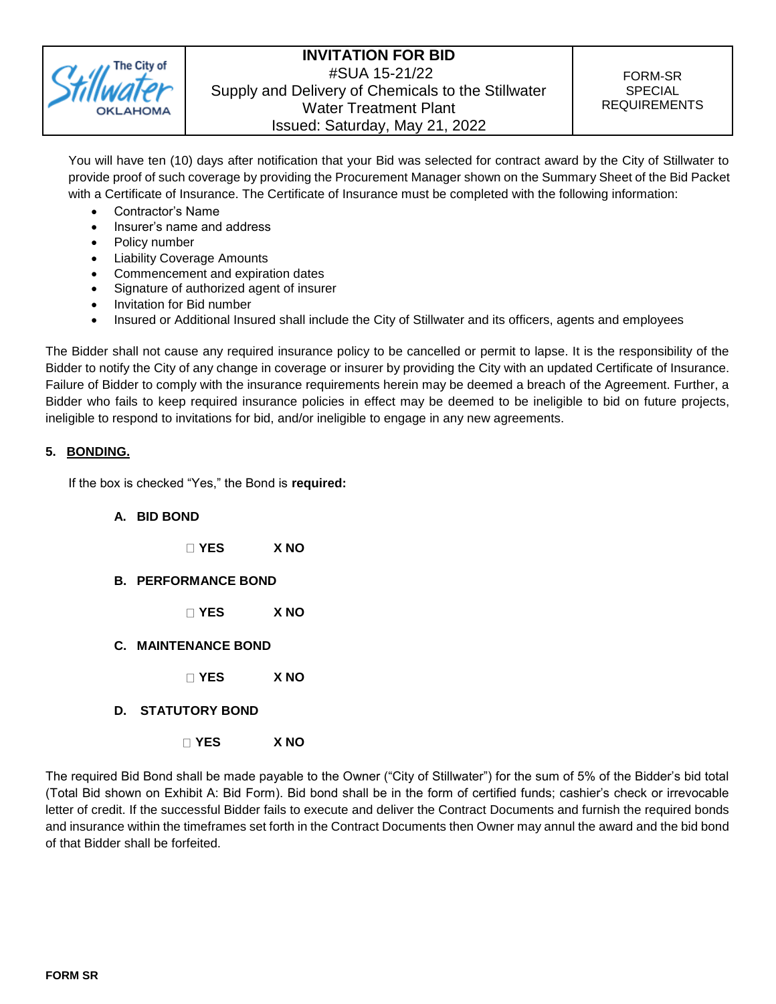

You will have ten (10) days after notification that your Bid was selected for contract award by the City of Stillwater to provide proof of such coverage by providing the Procurement Manager shown on the Summary Sheet of the Bid Packet with a Certificate of Insurance. The Certificate of Insurance must be completed with the following information:

- Contractor's Name
- Insurer's name and address
- Policy number
- Liability Coverage Amounts
- Commencement and expiration dates
- Signature of authorized agent of insurer
- Invitation for Bid number
- Insured or Additional Insured shall include the City of Stillwater and its officers, agents and employees

The Bidder shall not cause any required insurance policy to be cancelled or permit to lapse. It is the responsibility of the Bidder to notify the City of any change in coverage or insurer by providing the City with an updated Certificate of Insurance. Failure of Bidder to comply with the insurance requirements herein may be deemed a breach of the Agreement. Further, a Bidder who fails to keep required insurance policies in effect may be deemed to be ineligible to bid on future projects, ineligible to respond to invitations for bid, and/or ineligible to engage in any new agreements.

### **5. BONDING.**

If the box is checked "Yes," the Bond is **required:**

- **A. BID BOND**
	- **YES X NO**
- **B. PERFORMANCE BOND**
	- **YES X NO**
- **C. MAINTENANCE BOND**
	- **YES X NO**
- **D. STATUTORY BOND**
	- **YES X NO**

The required Bid Bond shall be made payable to the Owner ("City of Stillwater") for the sum of 5% of the Bidder's bid total (Total Bid shown on Exhibit A: Bid Form). Bid bond shall be in the form of certified funds; cashier's check or irrevocable letter of credit. If the successful Bidder fails to execute and deliver the Contract Documents and furnish the required bonds and insurance within the timeframes set forth in the Contract Documents then Owner may annul the award and the bid bond of that Bidder shall be forfeited.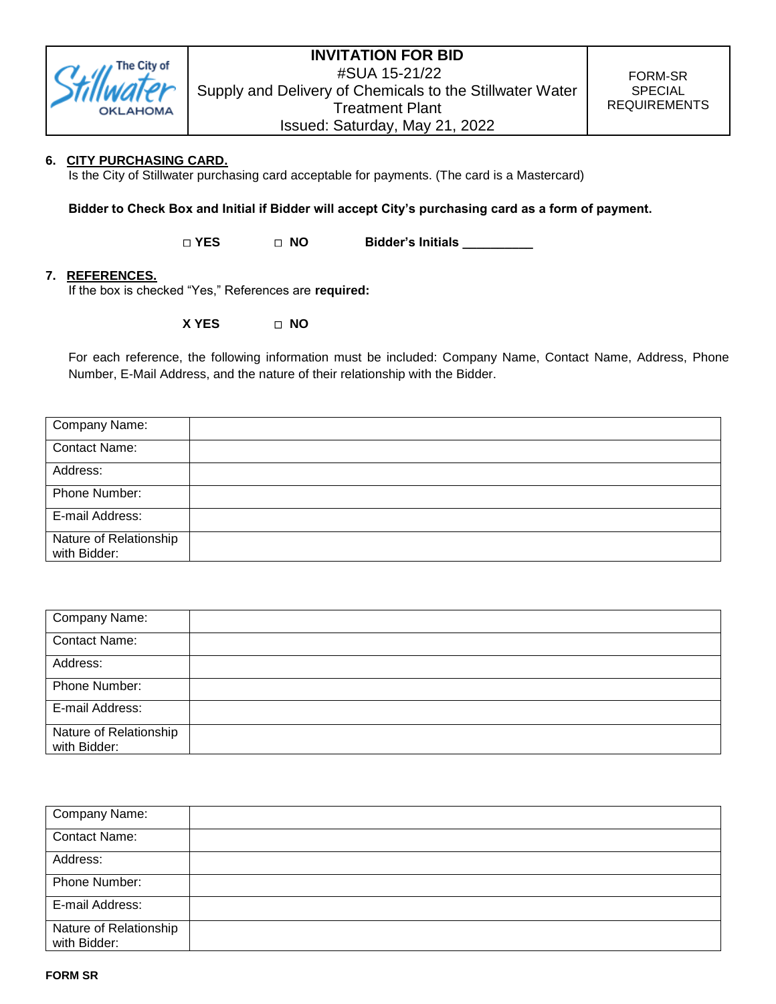

### **6. CITY PURCHASING CARD.**

Is the City of Stillwater purchasing card acceptable for payments. (The card is a Mastercard)

**Bidder to Check Box and Initial if Bidder will accept City's purchasing card as a form of payment.**

**YES NO Bidder's Initials \_\_\_\_\_\_\_\_\_\_**

### **7. REFERENCES.**

If the box is checked "Yes," References are **required:**

**X YES NO**

For each reference, the following information must be included: Company Name, Contact Name, Address, Phone Number, E-Mail Address, and the nature of their relationship with the Bidder.

| Company Name:                          |  |
|----------------------------------------|--|
| <b>Contact Name:</b>                   |  |
| Address:                               |  |
| Phone Number:                          |  |
| E-mail Address:                        |  |
| Nature of Relationship<br>with Bidder: |  |

| Company Name:                          |  |
|----------------------------------------|--|
| <b>Contact Name:</b>                   |  |
| Address:                               |  |
| Phone Number:                          |  |
| E-mail Address:                        |  |
| Nature of Relationship<br>with Bidder: |  |

| Company Name:                          |  |
|----------------------------------------|--|
| <b>Contact Name:</b>                   |  |
| Address:                               |  |
| Phone Number:                          |  |
| E-mail Address:                        |  |
| Nature of Relationship<br>with Bidder: |  |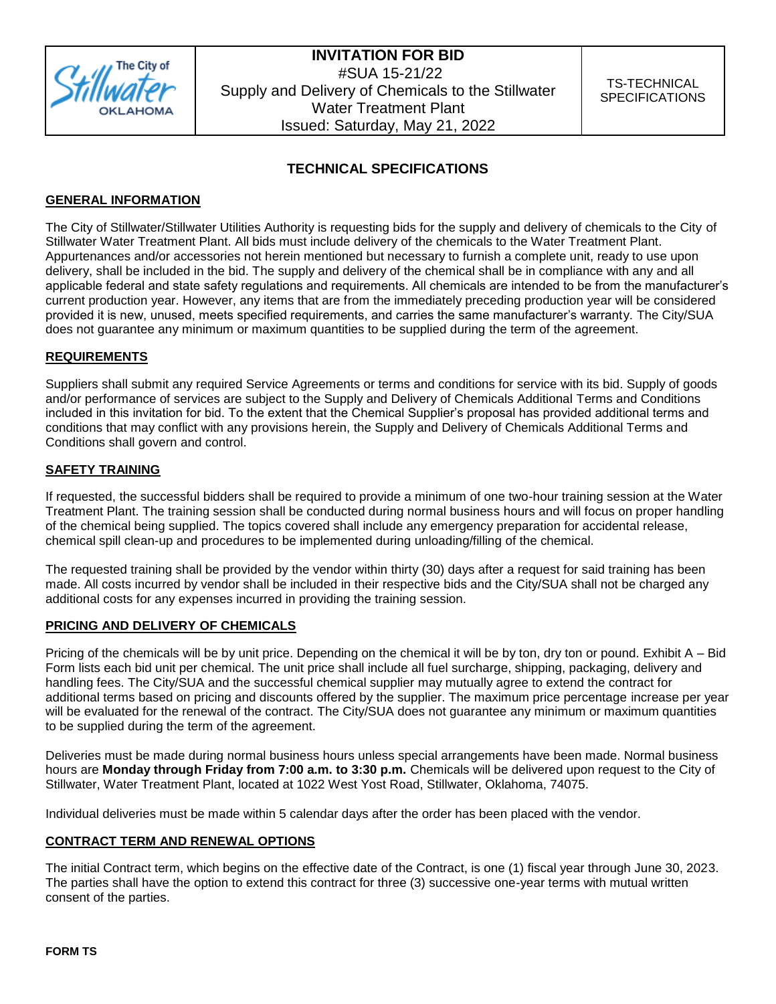

### **TECHNICAL SPECIFICATIONS**

### **GENERAL INFORMATION**

The City of Stillwater/Stillwater Utilities Authority is requesting bids for the supply and delivery of chemicals to the City of Stillwater Water Treatment Plant. All bids must include delivery of the chemicals to the Water Treatment Plant. Appurtenances and/or accessories not herein mentioned but necessary to furnish a complete unit, ready to use upon delivery, shall be included in the bid. The supply and delivery of the chemical shall be in compliance with any and all applicable federal and state safety regulations and requirements. All chemicals are intended to be from the manufacturer's current production year. However, any items that are from the immediately preceding production year will be considered provided it is new, unused, meets specified requirements, and carries the same manufacturer's warranty. The City/SUA does not guarantee any minimum or maximum quantities to be supplied during the term of the agreement.

### **REQUIREMENTS**

Suppliers shall submit any required Service Agreements or terms and conditions for service with its bid. Supply of goods and/or performance of services are subject to the Supply and Delivery of Chemicals Additional Terms and Conditions included in this invitation for bid. To the extent that the Chemical Supplier's proposal has provided additional terms and conditions that may conflict with any provisions herein, the Supply and Delivery of Chemicals Additional Terms and Conditions shall govern and control.

### **SAFETY TRAINING**

If requested, the successful bidders shall be required to provide a minimum of one two-hour training session at the Water Treatment Plant. The training session shall be conducted during normal business hours and will focus on proper handling of the chemical being supplied. The topics covered shall include any emergency preparation for accidental release, chemical spill clean-up and procedures to be implemented during unloading/filling of the chemical.

The requested training shall be provided by the vendor within thirty (30) days after a request for said training has been made. All costs incurred by vendor shall be included in their respective bids and the City/SUA shall not be charged any additional costs for any expenses incurred in providing the training session.

### **PRICING AND DELIVERY OF CHEMICALS**

Pricing of the chemicals will be by unit price. Depending on the chemical it will be by ton, dry ton or pound. Exhibit A – Bid Form lists each bid unit per chemical. The unit price shall include all fuel surcharge, shipping, packaging, delivery and handling fees. The City/SUA and the successful chemical supplier may mutually agree to extend the contract for additional terms based on pricing and discounts offered by the supplier. The maximum price percentage increase per year will be evaluated for the renewal of the contract. The City/SUA does not guarantee any minimum or maximum quantities to be supplied during the term of the agreement.

Deliveries must be made during normal business hours unless special arrangements have been made. Normal business hours are **Monday through Friday from 7:00 a.m. to 3:30 p.m.** Chemicals will be delivered upon request to the City of Stillwater, Water Treatment Plant, located at 1022 West Yost Road, Stillwater, Oklahoma, 74075.

Individual deliveries must be made within 5 calendar days after the order has been placed with the vendor.

### **CONTRACT TERM AND RENEWAL OPTIONS**

The initial Contract term, which begins on the effective date of the Contract, is one (1) fiscal year through June 30, 2023. The parties shall have the option to extend this contract for three (3) successive one-year terms with mutual written consent of the parties.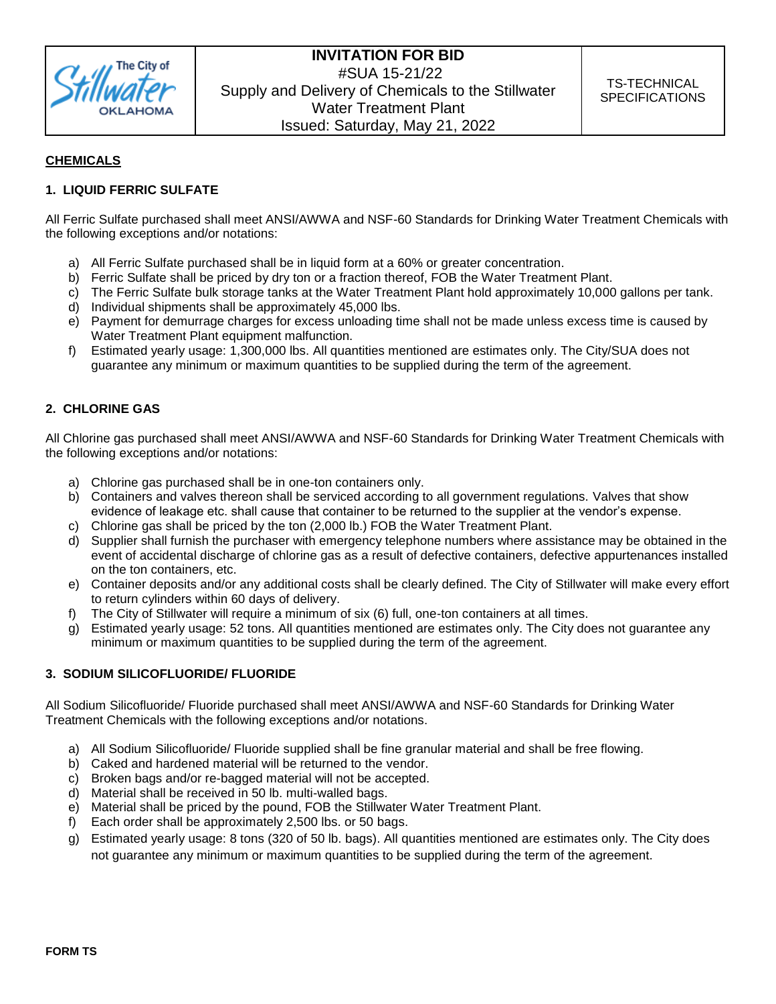

### **CHEMICALS**

### **1. LIQUID FERRIC SULFATE**

All Ferric Sulfate purchased shall meet ANSI/AWWA and NSF-60 Standards for Drinking Water Treatment Chemicals with the following exceptions and/or notations:

- a) All Ferric Sulfate purchased shall be in liquid form at a 60% or greater concentration.
- b) Ferric Sulfate shall be priced by dry ton or a fraction thereof, FOB the Water Treatment Plant.
- c) The Ferric Sulfate bulk storage tanks at the Water Treatment Plant hold approximately 10,000 gallons per tank.
- d) Individual shipments shall be approximately 45,000 lbs.
- e) Payment for demurrage charges for excess unloading time shall not be made unless excess time is caused by Water Treatment Plant equipment malfunction.
- f) Estimated yearly usage: 1,300,000 lbs. All quantities mentioned are estimates only. The City/SUA does not guarantee any minimum or maximum quantities to be supplied during the term of the agreement.

### **2. CHLORINE GAS**

All Chlorine gas purchased shall meet ANSI/AWWA and NSF-60 Standards for Drinking Water Treatment Chemicals with the following exceptions and/or notations:

- a) Chlorine gas purchased shall be in one-ton containers only.
- b) Containers and valves thereon shall be serviced according to all government regulations. Valves that show evidence of leakage etc. shall cause that container to be returned to the supplier at the vendor's expense.
- c) Chlorine gas shall be priced by the ton (2,000 lb.) FOB the Water Treatment Plant.
- d) Supplier shall furnish the purchaser with emergency telephone numbers where assistance may be obtained in the event of accidental discharge of chlorine gas as a result of defective containers, defective appurtenances installed on the ton containers, etc.
- e) Container deposits and/or any additional costs shall be clearly defined. The City of Stillwater will make every effort to return cylinders within 60 days of delivery.
- f) The City of Stillwater will require a minimum of six (6) full, one-ton containers at all times.
- g) Estimated yearly usage: 52 tons. All quantities mentioned are estimates only. The City does not guarantee any minimum or maximum quantities to be supplied during the term of the agreement.

### **3. SODIUM SILICOFLUORIDE/ FLUORIDE**

All Sodium Silicofluoride/ Fluoride purchased shall meet ANSI/AWWA and NSF-60 Standards for Drinking Water Treatment Chemicals with the following exceptions and/or notations.

- a) All Sodium Silicofluoride/ Fluoride supplied shall be fine granular material and shall be free flowing.
- b) Caked and hardened material will be returned to the vendor.
- c) Broken bags and/or re-bagged material will not be accepted.
- d) Material shall be received in 50 lb. multi-walled bags.
- e) Material shall be priced by the pound, FOB the Stillwater Water Treatment Plant.
- f) Each order shall be approximately 2,500 lbs. or 50 bags.
- g) Estimated yearly usage: 8 tons (320 of 50 lb. bags). All quantities mentioned are estimates only. The City does not guarantee any minimum or maximum quantities to be supplied during the term of the agreement.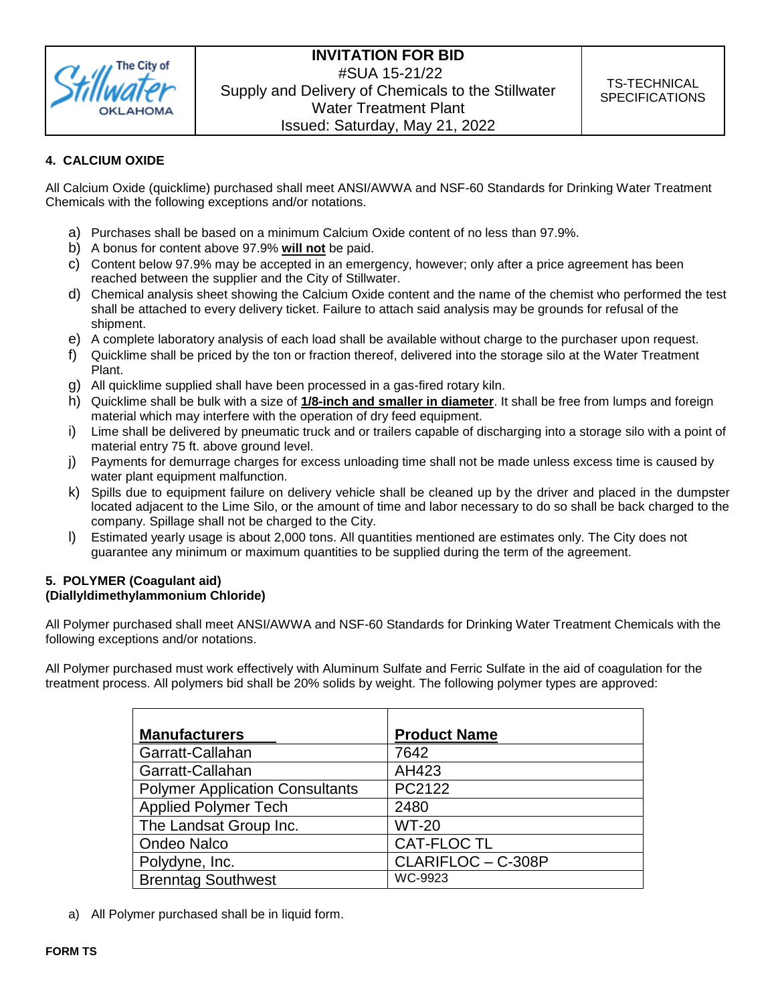

### **4. CALCIUM OXIDE**

All Calcium Oxide (quicklime) purchased shall meet ANSI/AWWA and NSF-60 Standards for Drinking Water Treatment Chemicals with the following exceptions and/or notations.

- a) Purchases shall be based on a minimum Calcium Oxide content of no less than 97.9%.
- b) A bonus for content above 97.9% **will not** be paid.
- c) Content below 97.9% may be accepted in an emergency, however; only after a price agreement has been reached between the supplier and the City of Stillwater.
- d) Chemical analysis sheet showing the Calcium Oxide content and the name of the chemist who performed the test shall be attached to every delivery ticket. Failure to attach said analysis may be grounds for refusal of the shipment.
- e) A complete laboratory analysis of each load shall be available without charge to the purchaser upon request.
- f) Quicklime shall be priced by the ton or fraction thereof, delivered into the storage silo at the Water Treatment Plant.
- g) All quicklime supplied shall have been processed in a gas-fired rotary kiln.
- h) Quicklime shall be bulk with a size of **1/8-inch and smaller in diameter**. It shall be free from lumps and foreign material which may interfere with the operation of dry feed equipment.
- i) Lime shall be delivered by pneumatic truck and or trailers capable of discharging into a storage silo with a point of material entry 75 ft. above ground level.
- j) Payments for demurrage charges for excess unloading time shall not be made unless excess time is caused by water plant equipment malfunction.
- k) Spills due to equipment failure on delivery vehicle shall be cleaned up by the driver and placed in the dumpster located adjacent to the Lime Silo, or the amount of time and labor necessary to do so shall be back charged to the company. Spillage shall not be charged to the City.
- l) Estimated yearly usage is about 2,000 tons. All quantities mentioned are estimates only. The City does not guarantee any minimum or maximum quantities to be supplied during the term of the agreement.

# **5. POLYMER (Coagulant aid)**

# **(Diallyldimethylammonium Chloride)**

All Polymer purchased shall meet ANSI/AWWA and NSF-60 Standards for Drinking Water Treatment Chemicals with the following exceptions and/or notations.

All Polymer purchased must work effectively with Aluminum Sulfate and Ferric Sulfate in the aid of coagulation for the treatment process. All polymers bid shall be 20% solids by weight. The following polymer types are approved:

| <b>Manufacturers</b>                   | <b>Product Name</b> |
|----------------------------------------|---------------------|
| Garratt-Callahan                       | 7642                |
| Garratt-Callahan                       | AH423               |
| <b>Polymer Application Consultants</b> | PC2122              |
| <b>Applied Polymer Tech</b>            | 2480                |
| The Landsat Group Inc.                 | <b>WT-20</b>        |
| <b>Ondeo Nalco</b>                     | <b>CAT-FLOC TL</b>  |
| Polydyne, Inc.                         | CLARIFLOC - C-308P  |
| <b>Brenntag Southwest</b>              | WC-9923             |

a) All Polymer purchased shall be in liquid form.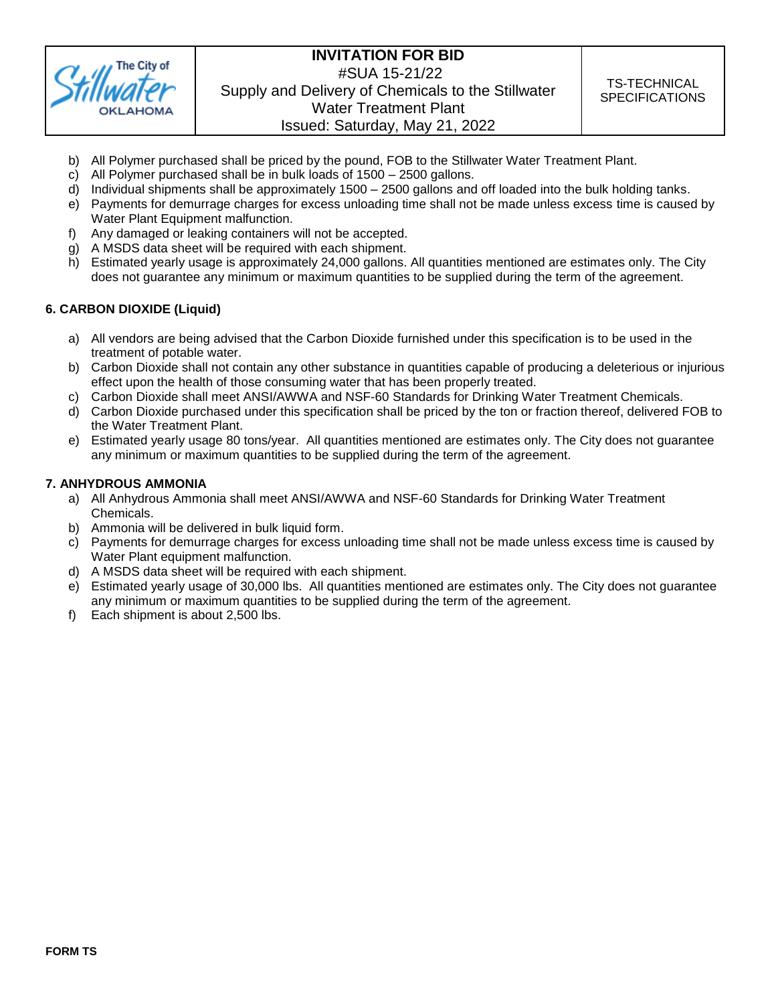

- b) All Polymer purchased shall be priced by the pound, FOB to the Stillwater Water Treatment Plant.
- c) All Polymer purchased shall be in bulk loads of 1500 2500 gallons.
- d) Individual shipments shall be approximately 1500 2500 gallons and off loaded into the bulk holding tanks.
- e) Payments for demurrage charges for excess unloading time shall not be made unless excess time is caused by Water Plant Equipment malfunction.
- f) Any damaged or leaking containers will not be accepted.
- g) A MSDS data sheet will be required with each shipment.
- h) Estimated yearly usage is approximately 24,000 gallons. All quantities mentioned are estimates only. The City does not guarantee any minimum or maximum quantities to be supplied during the term of the agreement.

### **6. CARBON DIOXIDE (Liquid)**

- a) All vendors are being advised that the Carbon Dioxide furnished under this specification is to be used in the treatment of potable water.
- b) Carbon Dioxide shall not contain any other substance in quantities capable of producing a deleterious or injurious effect upon the health of those consuming water that has been properly treated.
- c) Carbon Dioxide shall meet ANSI/AWWA and NSF-60 Standards for Drinking Water Treatment Chemicals.
- d) Carbon Dioxide purchased under this specification shall be priced by the ton or fraction thereof, delivered FOB to the Water Treatment Plant.
- e) Estimated yearly usage 80 tons/year. All quantities mentioned are estimates only. The City does not guarantee any minimum or maximum quantities to be supplied during the term of the agreement.

### **7. ANHYDROUS AMMONIA**

- a) All Anhydrous Ammonia shall meet ANSI/AWWA and NSF-60 Standards for Drinking Water Treatment Chemicals.
- b) Ammonia will be delivered in bulk liquid form.
- c) Payments for demurrage charges for excess unloading time shall not be made unless excess time is caused by Water Plant equipment malfunction.
- d) A MSDS data sheet will be required with each shipment.
- e) Estimated yearly usage of 30,000 lbs. All quantities mentioned are estimates only. The City does not guarantee any minimum or maximum quantities to be supplied during the term of the agreement.
- f) Each shipment is about 2,500 lbs.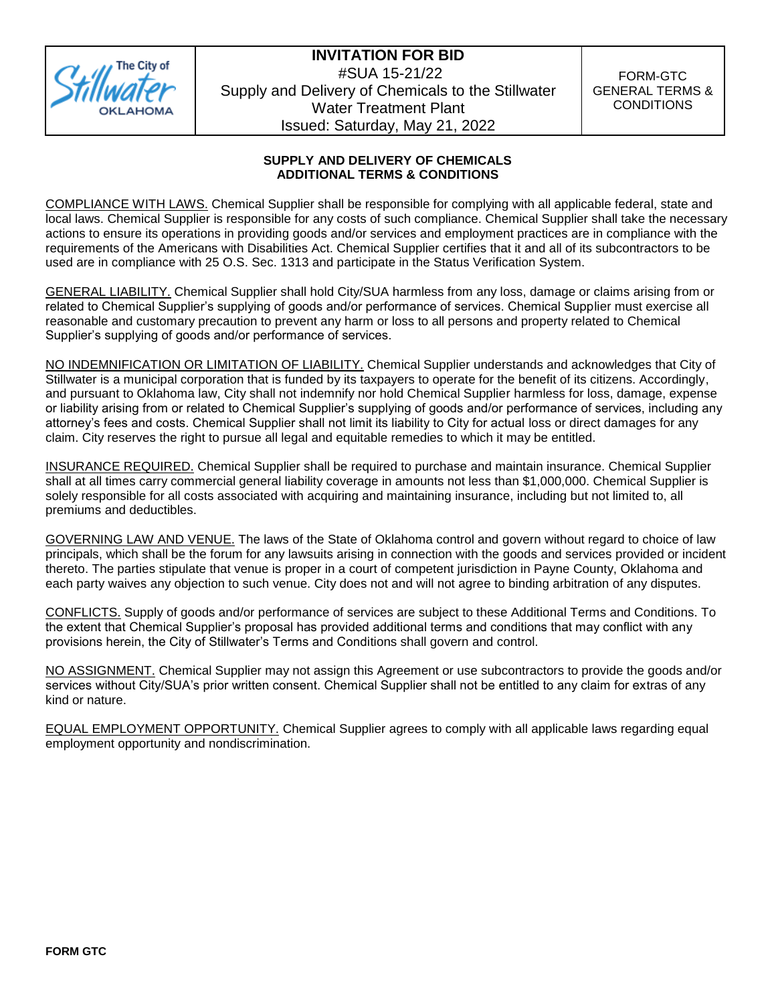

### **SUPPLY AND DELIVERY OF CHEMICALS ADDITIONAL TERMS & CONDITIONS**

COMPLIANCE WITH LAWS. Chemical Supplier shall be responsible for complying with all applicable federal, state and local laws. Chemical Supplier is responsible for any costs of such compliance. Chemical Supplier shall take the necessary actions to ensure its operations in providing goods and/or services and employment practices are in compliance with the requirements of the Americans with Disabilities Act. Chemical Supplier certifies that it and all of its subcontractors to be used are in compliance with 25 O.S. Sec. 1313 and participate in the Status Verification System.

GENERAL LIABILITY. Chemical Supplier shall hold City/SUA harmless from any loss, damage or claims arising from or related to Chemical Supplier's supplying of goods and/or performance of services. Chemical Supplier must exercise all reasonable and customary precaution to prevent any harm or loss to all persons and property related to Chemical Supplier's supplying of goods and/or performance of services.

NO INDEMNIFICATION OR LIMITATION OF LIABILITY. Chemical Supplier understands and acknowledges that City of Stillwater is a municipal corporation that is funded by its taxpayers to operate for the benefit of its citizens. Accordingly, and pursuant to Oklahoma law, City shall not indemnify nor hold Chemical Supplier harmless for loss, damage, expense or liability arising from or related to Chemical Supplier's supplying of goods and/or performance of services, including any attorney's fees and costs. Chemical Supplier shall not limit its liability to City for actual loss or direct damages for any claim. City reserves the right to pursue all legal and equitable remedies to which it may be entitled.

INSURANCE REQUIRED. Chemical Supplier shall be required to purchase and maintain insurance. Chemical Supplier shall at all times carry commercial general liability coverage in amounts not less than \$1,000,000. Chemical Supplier is solely responsible for all costs associated with acquiring and maintaining insurance, including but not limited to, all premiums and deductibles.

GOVERNING LAW AND VENUE. The laws of the State of Oklahoma control and govern without regard to choice of law principals, which shall be the forum for any lawsuits arising in connection with the goods and services provided or incident thereto. The parties stipulate that venue is proper in a court of competent jurisdiction in Payne County, Oklahoma and each party waives any objection to such venue. City does not and will not agree to binding arbitration of any disputes.

CONFLICTS. Supply of goods and/or performance of services are subject to these Additional Terms and Conditions. To the extent that Chemical Supplier's proposal has provided additional terms and conditions that may conflict with any provisions herein, the City of Stillwater's Terms and Conditions shall govern and control.

NO ASSIGNMENT. Chemical Supplier may not assign this Agreement or use subcontractors to provide the goods and/or services without City/SUA's prior written consent. Chemical Supplier shall not be entitled to any claim for extras of any kind or nature.

EQUAL EMPLOYMENT OPPORTUNITY. Chemical Supplier agrees to comply with all applicable laws regarding equal employment opportunity and nondiscrimination.